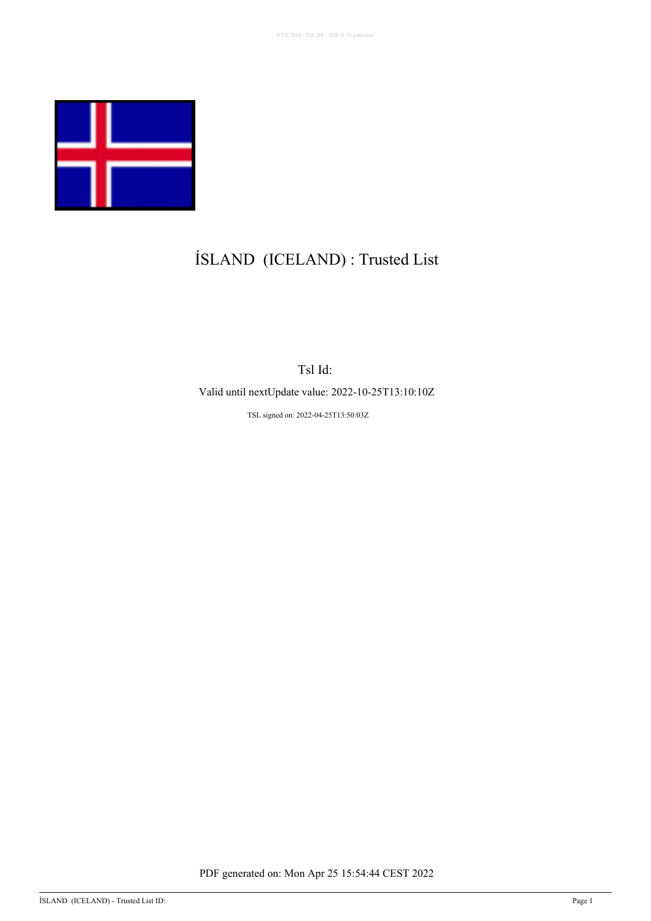

# ÍSLAND (ICELAND) : Trusted List

Tsl Id:

Valid until nextUpdate value: 2022-10-25T13:10:10Z

TSL signed on: 2022-04-25T13:50:03Z

PDF generated on: Mon Apr 25 15:54:44 CEST 2022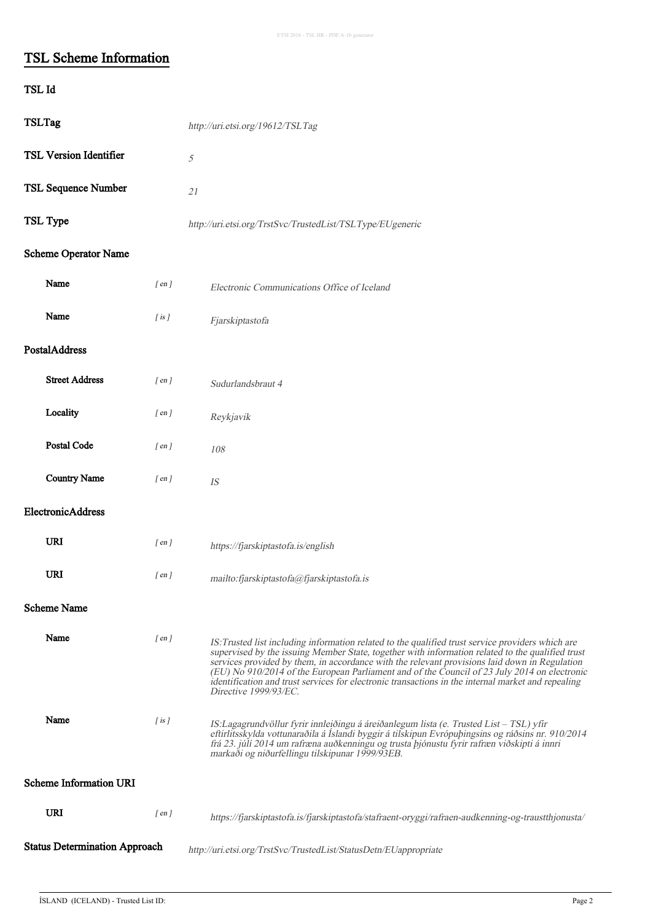# TSL Scheme Information

| TSL Id                               |                                                                                                                                                                                                                                                                                                                                                                                                                                                                                                                                       |  |  |
|--------------------------------------|---------------------------------------------------------------------------------------------------------------------------------------------------------------------------------------------------------------------------------------------------------------------------------------------------------------------------------------------------------------------------------------------------------------------------------------------------------------------------------------------------------------------------------------|--|--|
| <b>TSLTag</b>                        | http://uri.etsi.org/19612/TSLTag                                                                                                                                                                                                                                                                                                                                                                                                                                                                                                      |  |  |
| <b>TSL Version Identifier</b>        | $\mathcal{S}% _{M_{1},M_{2}}^{\alpha,\beta}(\varepsilon)$                                                                                                                                                                                                                                                                                                                                                                                                                                                                             |  |  |
| TSL Sequence Number                  | 21                                                                                                                                                                                                                                                                                                                                                                                                                                                                                                                                    |  |  |
| TSL Type                             | http://uri.etsi.org/TrstSvc/TrustedList/TSLType/EUgeneric                                                                                                                                                                                                                                                                                                                                                                                                                                                                             |  |  |
| Scheme Operator Name                 |                                                                                                                                                                                                                                                                                                                                                                                                                                                                                                                                       |  |  |
| Name<br>$[$ en $]$                   | Electronic Communications Office of Iceland                                                                                                                                                                                                                                                                                                                                                                                                                                                                                           |  |  |
| Name<br>$[$ is $]$                   | Fjarskiptastofa                                                                                                                                                                                                                                                                                                                                                                                                                                                                                                                       |  |  |
| PostalAddress                        |                                                                                                                                                                                                                                                                                                                                                                                                                                                                                                                                       |  |  |
| <b>Street Address</b><br>$[$ en $]$  | Sudurlandsbraut 4                                                                                                                                                                                                                                                                                                                                                                                                                                                                                                                     |  |  |
| Locality<br>$[$ en $]$               | Reykjavik                                                                                                                                                                                                                                                                                                                                                                                                                                                                                                                             |  |  |
| Postal Code<br>$[$ en $]$            | 108                                                                                                                                                                                                                                                                                                                                                                                                                                                                                                                                   |  |  |
| <b>Country Name</b><br>$[$ en $]$    | IS                                                                                                                                                                                                                                                                                                                                                                                                                                                                                                                                    |  |  |
| ElectronicAddress                    |                                                                                                                                                                                                                                                                                                                                                                                                                                                                                                                                       |  |  |
| <b>URI</b><br>$[$ en $]$             | https://fjarskiptastofa.is/english                                                                                                                                                                                                                                                                                                                                                                                                                                                                                                    |  |  |
| <b>URI</b><br>$[$ en $]$             | mailto:fjarskiptastofa@fjarskiptastofa.is                                                                                                                                                                                                                                                                                                                                                                                                                                                                                             |  |  |
| <b>Scheme Name</b>                   |                                                                                                                                                                                                                                                                                                                                                                                                                                                                                                                                       |  |  |
| Name<br>$[$ en $]$                   | IS: Trusted list including information related to the qualified trust service providers which are<br>supervised by the issuing Member State, together with information related to the qualified trust<br>services provided by them, in accordance with the relevant provisions laid down in Regulation<br>(EU) No 910/2014 of the European Parliament and of the Council of 23 July 2014 on electronic<br>identification and trust services for electronic transactions in the internal market and repealing<br>Directive 1999/93/EC. |  |  |
| Name<br>$\int$ is $\int$             | IS:Lagagrundvöllur fyrir innleiðingu á áreiðanlegum lista (e. Trusted List - TSL) yfir<br>eftirlitsskylda vottunaraðila á Íslandi byggir á tilskipun Evrópuþingsins og ráðsins nr. 910/2014<br>frá 23. júlí 2014 um rafræna auðkenningu og trusta þjónustu fyrir rafræn viðskipti á innri<br>markaði og niðurfellingu tilskipunar 1999/93EB.                                                                                                                                                                                          |  |  |
| <b>Scheme Information URI</b>        |                                                                                                                                                                                                                                                                                                                                                                                                                                                                                                                                       |  |  |
| <b>URI</b><br>$[$ en $]$             | https://fjarskiptastofa.is/fjarskiptastofa/stafraent-oryggi/rafraen-audkenning-og-traustthjonusta/                                                                                                                                                                                                                                                                                                                                                                                                                                    |  |  |
| <b>Status Determination Approach</b> | http://uri.etsi.org/TrstSvc/TrustedList/StatusDetn/EUappropriate                                                                                                                                                                                                                                                                                                                                                                                                                                                                      |  |  |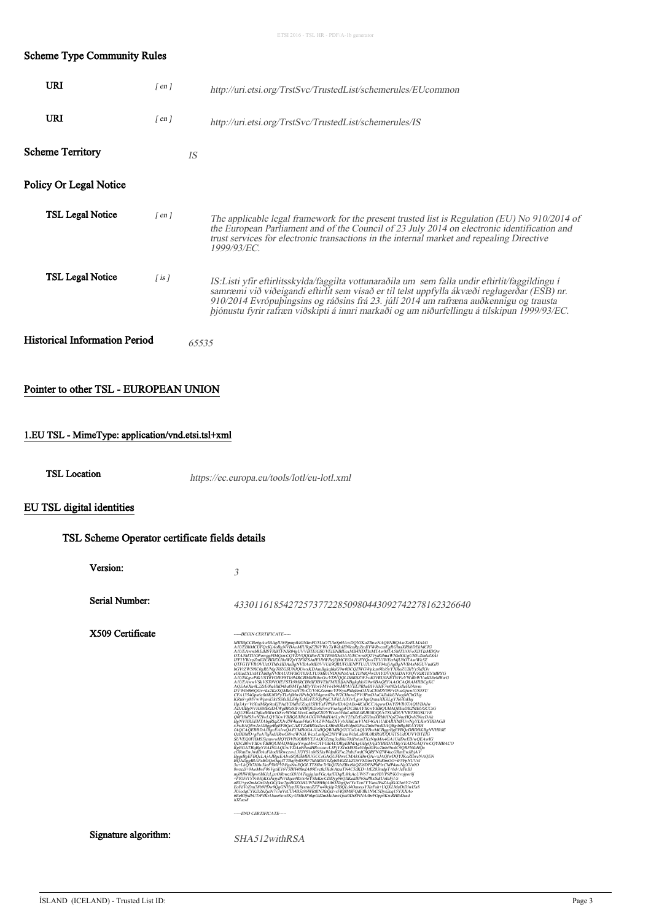| <b>URI</b>                                                                                                                                     | $[$ en $]$       | http://uri.etsi.org/TrstSvc/TrustedList/schemerules/EUcommon                                                                                                                                                                                                                                                                                                                                                                                                                                                                                                                                                                                                                                                                                                                                                                                                                                                                                                                                                                       |
|------------------------------------------------------------------------------------------------------------------------------------------------|------------------|------------------------------------------------------------------------------------------------------------------------------------------------------------------------------------------------------------------------------------------------------------------------------------------------------------------------------------------------------------------------------------------------------------------------------------------------------------------------------------------------------------------------------------------------------------------------------------------------------------------------------------------------------------------------------------------------------------------------------------------------------------------------------------------------------------------------------------------------------------------------------------------------------------------------------------------------------------------------------------------------------------------------------------|
| <b>URI</b>                                                                                                                                     | $[$ en $]$       | http://uri.etsi.org/TrstSvc/TrustedList/schemerules/IS                                                                                                                                                                                                                                                                                                                                                                                                                                                                                                                                                                                                                                                                                                                                                                                                                                                                                                                                                                             |
| <b>Scheme Territory</b>                                                                                                                        |                  | <i>IS</i>                                                                                                                                                                                                                                                                                                                                                                                                                                                                                                                                                                                                                                                                                                                                                                                                                                                                                                                                                                                                                          |
| Policy Or Legal Notice                                                                                                                         |                  |                                                                                                                                                                                                                                                                                                                                                                                                                                                                                                                                                                                                                                                                                                                                                                                                                                                                                                                                                                                                                                    |
| TSL Legal Notice                                                                                                                               | $[$ en $]$       | The applicable legal framework for the present trusted list is Regulation (EU) No $910/2014$ of<br>the European Parliament and of the Council of 23 July 2014 on electronic identification and<br>trust services for electronic transactions in the internal market and repealing Directive<br>1999/93/EC.                                                                                                                                                                                                                                                                                                                                                                                                                                                                                                                                                                                                                                                                                                                         |
| TSL Legal Notice                                                                                                                               | $\int$ is $\int$ | IS: Listi yfir eftirlitsskylda/faggilta vottunaraðila um sem falla undir eftirlit/faggildingu í<br>samræmi við viðeigandi eftirlit sem vísað er til telst uppfylla ákvæði reglugerðar (ESB) nr.<br>910/2014 Evrópubingsins og ráðsins frá 23. júlí 2014 um rafræna auðkennigu og trausta<br>þjónustu fyrir rafræn viðskipti á innri markaði og um niðurfellingu á tilskipun 1999/93/EC.                                                                                                                                                                                                                                                                                                                                                                                                                                                                                                                                                                                                                                            |
| <b>Historical Information Period</b>                                                                                                           |                  | 65535                                                                                                                                                                                                                                                                                                                                                                                                                                                                                                                                                                                                                                                                                                                                                                                                                                                                                                                                                                                                                              |
| Pointer to other TSL - EUROPEAN UNION<br>1.EU TSL - MimeType: application/vnd.etsi.tsl+xml<br><b>TSL Location</b><br>EU TSL digital identities |                  | https://ec.europa.eu/tools/lotl/eu-lotl.xml                                                                                                                                                                                                                                                                                                                                                                                                                                                                                                                                                                                                                                                                                                                                                                                                                                                                                                                                                                                        |
| TSL Scheme Operator certificate fields details                                                                                                 |                  |                                                                                                                                                                                                                                                                                                                                                                                                                                                                                                                                                                                                                                                                                                                                                                                                                                                                                                                                                                                                                                    |
| Version:                                                                                                                                       |                  | 3                                                                                                                                                                                                                                                                                                                                                                                                                                                                                                                                                                                                                                                                                                                                                                                                                                                                                                                                                                                                                                  |
| Serial Number:                                                                                                                                 |                  | 433011618542725737722850980443092742278162326640                                                                                                                                                                                                                                                                                                                                                                                                                                                                                                                                                                                                                                                                                                                                                                                                                                                                                                                                                                                   |
| X509 Certificate                                                                                                                               |                  | -----BEGIN CERTIFICATE-----<br>MIIIBjCCBe6gAwIBAgIUS9jpmpft4GNImFU5UsO7UloSpHAwDQYJKoZIhveNAQENBQAwXzELMAkG<br>A1UEBhMCUFQxKjAoBgNVBAoMIURpZ210YWxTaWduENlcnRpZmjJYWRvemEgRGlm&RbbDEkMCIG<br>A1UEAwwbREHISVRBTFNJR04gUVVBTEIGSUVEIENBIEckMB4XDT1xMTAwMTA5MT11OFoXDT<br>OTA5MTHOFowggFIMQswCQYDVQQGEwJCRTE9MDsGA1UECww0Q2VydGlmaWNhdGUgUHIvZmlsZSAt<br>IFFIYWspZmlIZCBDZXJ0aWZpY2F0ZSAnIE1lbWJhJEjMCEGA1UECww1DCJWWchawWWASZ<br>QTFGTFVROVUzOTMxHDAaBgNVBAoME0VVUk9QRUFOIENPTU1JU1NT04xijAgBgNVBAsMGUVudGl0<br>bGViZW50IC0gRUMgT0ZGSUNJQUwxKDAmBgkqhkiG9w0BCQEWGWplcm9lbi5yYXRoZUBIYy5ldXJv<br>cGEuZXUsHTAbBgNVBAUTFFBOT0IFLTU5Mi01NDQ0NxUwLTI3MQ4wDAVDVQQEDAVSQVRIRTEYMBYG<br>A1UEKgwPSkVST0VOIEFSTk9MRCBMMR0wGwYDVQQLDBRSZW1vdGVRU0NETWFaYWdlbWVu<br>CGE/LX/HITABBE/YARAI/MTFFF8/DTRI-TUSMÍO/MOOSAVA-UTIMAGÁRA<br>ATUERCE/LX/HITABBE/YARAI/MTFFF8/DTRI-TUSMÍO/MOOSAVA-UTIMAGÁRA<br>ATUERCE/LX/HITEL/HITABBE/ARAI/MTFFF8/MTGCHAI/MTFF7/ASS/VENIX/HITABF/HITABF/HITABF/HITABF/HITABF/HITAB<br>iiJZaes8<br>-----END CERTIFICATE----- |
| Signature algorithm:                                                                                                                           |                  | SHA512withRSA                                                                                                                                                                                                                                                                                                                                                                                                                                                                                                                                                                                                                                                                                                                                                                                                                                                                                                                                                                                                                      |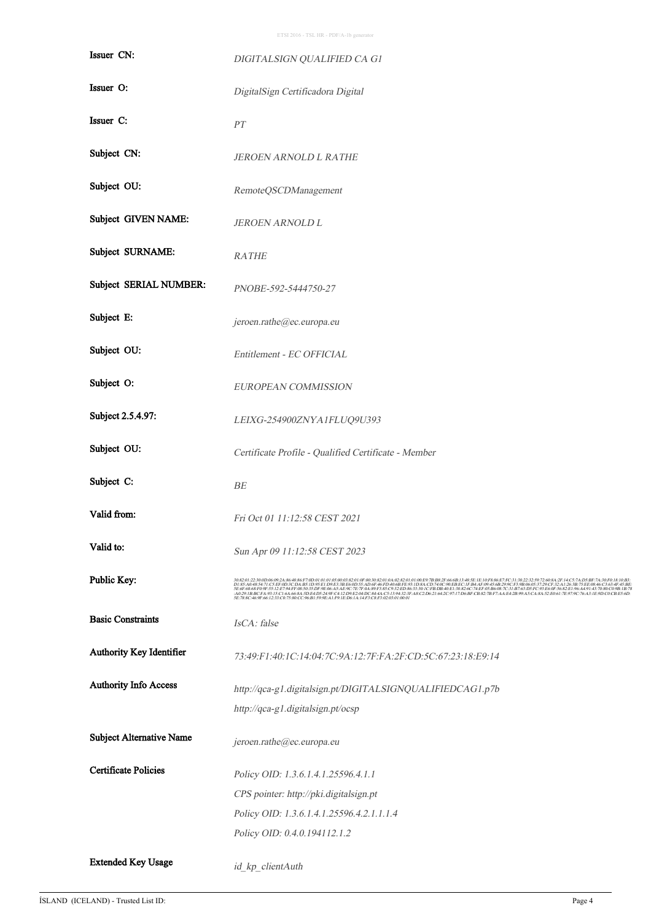| Issuer CN:                      | DIGITALSIGN QUALIFIED CA G1                                                                                                                                                                                                                                                                                                                                                                                                                                                                                                         |
|---------------------------------|-------------------------------------------------------------------------------------------------------------------------------------------------------------------------------------------------------------------------------------------------------------------------------------------------------------------------------------------------------------------------------------------------------------------------------------------------------------------------------------------------------------------------------------|
| Issuer O:                       | DigitalSign Certificadora Digital                                                                                                                                                                                                                                                                                                                                                                                                                                                                                                   |
| Issuer C:                       | PT                                                                                                                                                                                                                                                                                                                                                                                                                                                                                                                                  |
| Subject CN:                     | JEROEN ARNOLD L RATHE                                                                                                                                                                                                                                                                                                                                                                                                                                                                                                               |
| Subject OU:                     | RemoteQSCDManagement                                                                                                                                                                                                                                                                                                                                                                                                                                                                                                                |
| Subject GIVEN NAME:             | JEROEN ARNOLD L                                                                                                                                                                                                                                                                                                                                                                                                                                                                                                                     |
| Subject SURNAME:                | <b>RATHE</b>                                                                                                                                                                                                                                                                                                                                                                                                                                                                                                                        |
| Subject SERIAL NUMBER:          | PNOBE-592-5444750-27                                                                                                                                                                                                                                                                                                                                                                                                                                                                                                                |
| Subject E:                      | jeroen.rathe@ec.europa.eu                                                                                                                                                                                                                                                                                                                                                                                                                                                                                                           |
| Subject OU:                     | Entitlement - EC OFFICIAL                                                                                                                                                                                                                                                                                                                                                                                                                                                                                                           |
| Subject O:                      | EUROPEAN COMMISSION                                                                                                                                                                                                                                                                                                                                                                                                                                                                                                                 |
| Subject 2.5.4.97:               | LEIXG-254900ZNYA1FLUQ9U393                                                                                                                                                                                                                                                                                                                                                                                                                                                                                                          |
| Subject OU:                     | Certificate Profile - Qualified Certificate - Member                                                                                                                                                                                                                                                                                                                                                                                                                                                                                |
| Subject C:                      | $B\hspace{-0.05cm}E$                                                                                                                                                                                                                                                                                                                                                                                                                                                                                                                |
| Valid from:                     | Fri Oct 01 11:12:58 CEST 2021                                                                                                                                                                                                                                                                                                                                                                                                                                                                                                       |
| Valid to:                       | Sun Apr 09 11:12:58 CEST 2023                                                                                                                                                                                                                                                                                                                                                                                                                                                                                                       |
| Public Key:                     | 308201:22:30:0D:06:09:2A:86:48:86:F7:0D:01:01:01:00:08:20:01:0F:02:01:01:00:07:01:02:38:2Fe6:B:1348:2E1E1:0F8:86E7FC31138:22:32:39:72:603A2F:4CS:7A:D5:BF:7A30F01810:B3:<br>D1:85:A048:471:CSEP:0D:CDAB:1D:95:ED:05:DB:660D:55:AD<br>:A0:29:1B:BC:FA:93:15:C1:6A:66:8A:5D:E4:D5:24:9F:C4:12:D9:E2:04:DC:84:Ar:C5:13:94:32:3F:A8:C2:D6:21:64:2C:97:17:D6:BF:CB:82:7B:F7:AA:E4:2B:99:A5:CA:8A:52:E0:61:7E:97:9C:76:A3:1E:9D:C0:CB:E5:6D:<br>5E:78:8C:46:9F:66:12:33:C0:75:80:CC:96:B1:59:9E:A1:F9:1E:D6:1A:14:F3:C8:F3:02:03:01:00:01 |
| <b>Basic Constraints</b>        | IsCA: false                                                                                                                                                                                                                                                                                                                                                                                                                                                                                                                         |
| Authority Key Identifier        | 73:49:F1:40:1C:14:04:7C:9A:12:7F:FA:2F:CD:5C:67:23:18:E9:14                                                                                                                                                                                                                                                                                                                                                                                                                                                                         |
| <b>Authority Info Access</b>    | http://qca-g1.digitalsign.pt/DIGITALSIGNQUALIFIEDCAG1.p7b                                                                                                                                                                                                                                                                                                                                                                                                                                                                           |
|                                 | http://qca-g1.digitalsign.pt/ocsp                                                                                                                                                                                                                                                                                                                                                                                                                                                                                                   |
| <b>Subject Alternative Name</b> | jeroen.rathe@ec.europa.eu                                                                                                                                                                                                                                                                                                                                                                                                                                                                                                           |
| <b>Certificate Policies</b>     | Policy OID: 1.3.6.1.4.1.25596.4.1.1                                                                                                                                                                                                                                                                                                                                                                                                                                                                                                 |
|                                 | CPS pointer: http://pki.digitalsign.pt                                                                                                                                                                                                                                                                                                                                                                                                                                                                                              |
|                                 | Policy OID: 1.3.6.1.4.1.25596.4.2.1.1.1.4                                                                                                                                                                                                                                                                                                                                                                                                                                                                                           |
|                                 | Policy OID: 0.4.0.194112.1.2                                                                                                                                                                                                                                                                                                                                                                                                                                                                                                        |
| <b>Extended Key Usage</b>       | id_kp_clientAuth                                                                                                                                                                                                                                                                                                                                                                                                                                                                                                                    |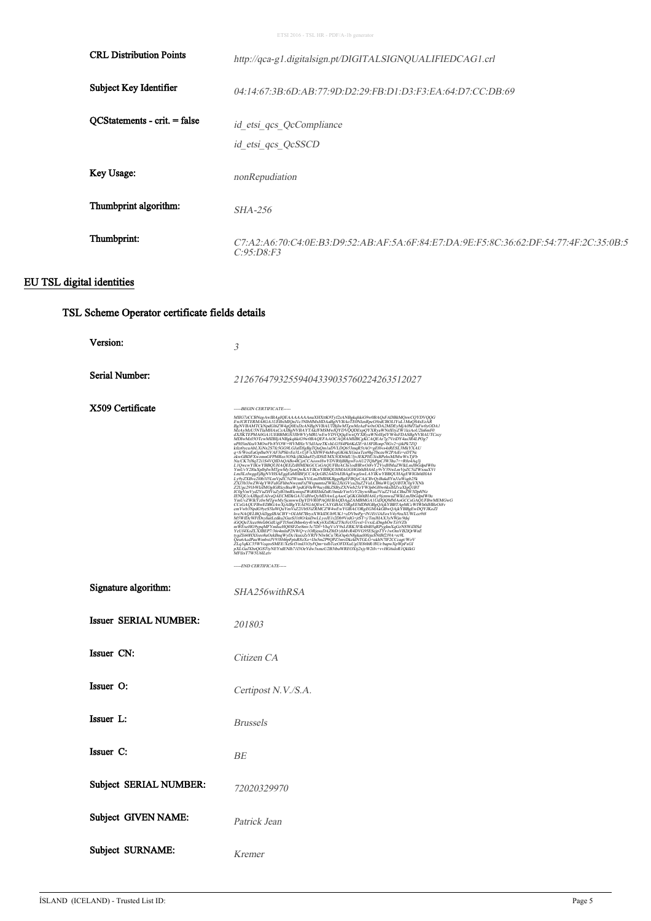|  |  |  |  | ETSI 2016 - TSL HR - PDF/A-1b generator |
|--|--|--|--|-----------------------------------------|

| <b>CRL Distribution Points</b>  | http://qca-g1.digitalsign.pt/DIGITALSIGNQUALIFIEDCAG1.crl                                             |  |
|---------------------------------|-------------------------------------------------------------------------------------------------------|--|
| Subject Key Identifier          | 04:14:67:3B:6D:AB:77:9D:D2:29:FB:D1:D3:F3:EA:64:D7:CC:DB:69                                           |  |
| $OCS$ tatements - crit. = false | id etsi qcs QcCompliance<br>id etsi qcs QcSSCD                                                        |  |
| Key Usage:                      | nonRepudiation                                                                                        |  |
| Thumbprint algorithm:           | <i>SHA-256</i>                                                                                        |  |
| Thumbprint:                     | C7:A2:A6:70:C4:0E:B3:D9:52:AB:AF:5A:6F:84:E7:DA:9E:F5:8C:36:62:DF:54:77:4F:2C:35:0B:5<br>$C.95$ D8:F3 |  |

### EU TSL digital identities

TSL Scheme Operator certificate fields details

| Version:               | 3                                                                                                                                                                                                                                                                                       |
|------------------------|-----------------------------------------------------------------------------------------------------------------------------------------------------------------------------------------------------------------------------------------------------------------------------------------|
| Serial Number:         | 21267647932559404339035760224263512027                                                                                                                                                                                                                                                  |
| X509 Certificate       | -----BEGIN CERTIFICATE-----<br>337 (CRETIFICATE (2002) (2003) (2003) (2003) (2003) (2003) (2003) (2003) (2003) (2003) (2003) (2003) (2003) (2003) (2003) (2003) (2003) (2003) (2003) (2003) (2003) (2003) (2003) (2003) (2003) (2003) (2003) (2003) (2003)<br>-----FND CERTIFICATE----- |
| Signature algorithm:   | SHA256withRSA                                                                                                                                                                                                                                                                           |
| Issuer SERIAL NUMBER:  | 201803                                                                                                                                                                                                                                                                                  |
| Issuer CN:             | Citizen CA                                                                                                                                                                                                                                                                              |
| Issuer O:              | Certipost N.V./S.A.                                                                                                                                                                                                                                                                     |
| Issuer L:              | <i>Brussels</i>                                                                                                                                                                                                                                                                         |
| Issuer C:              | BE                                                                                                                                                                                                                                                                                      |
| Subject SERIAL NUMBER: | 72020329970                                                                                                                                                                                                                                                                             |
| Subject GIVEN NAME:    | Patrick Jean                                                                                                                                                                                                                                                                            |
| Subject SURNAME:       | Kremer                                                                                                                                                                                                                                                                                  |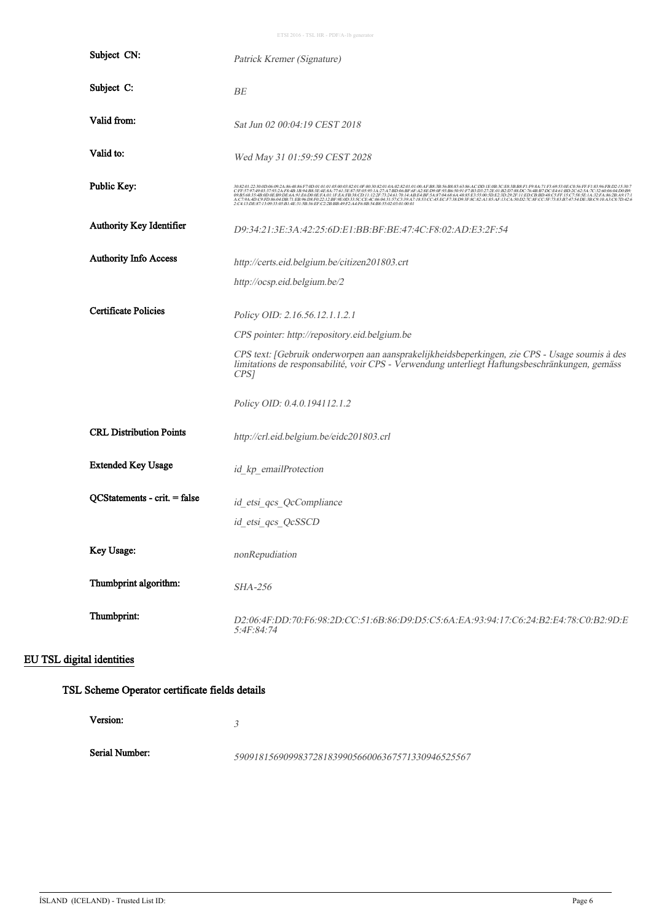| Subject CN:                    | Patrick Kremer (Signature)                                                                                                                                                                                                     |
|--------------------------------|--------------------------------------------------------------------------------------------------------------------------------------------------------------------------------------------------------------------------------|
| Subject C:                     | BE                                                                                                                                                                                                                             |
| Valid from:                    | Sat Jun 02 00:04:19 CEST 2018                                                                                                                                                                                                  |
| Valid to:                      | Wed May 31 01:59:59 CEST 2028                                                                                                                                                                                                  |
| Public Key:                    | 3082-01-22-30-0D-06-09-24-8648:86-F7:0D-01-01-01-00:20:20-01-01-02-02-02-01-01-00-01-008-8588-85-86-05-00-05-00-05-00-05-00-05-00-05-00-05-00-05-00-05-00-05-00-05-00-05-00-05-00-05-00-05-00-05-00-05-00-05-00-05-00-05-00-05 |
| Authority Key Identifier       | D9:34:21:3E:3A:42:25:6D:E1:BB:BF:BE:47:4C:F8:02:AD:E3:2F:54                                                                                                                                                                    |
| <b>Authority Info Access</b>   | http://certs.eid.belgium.be/citizen201803.crt                                                                                                                                                                                  |
|                                | http://ocsp.eid.belgium.be/2                                                                                                                                                                                                   |
| <b>Certificate Policies</b>    | Policy OID: 2.16.56.12.1.1.2.1                                                                                                                                                                                                 |
|                                | CPS pointer: http://repository.eid.belgium.be                                                                                                                                                                                  |
|                                | CPS text: [Gebruik onderworpen aan aansprakelijkheidsbeperkingen, zie CPS - Usage soumis à des<br>limitations de responsabilité, voir CPS - Verwendung unterliegt Haftungsbeschränkungen, gemäss<br>$CPS$ ]                    |
|                                | Policy OID: 0.4.0.194112.1.2                                                                                                                                                                                                   |
| <b>CRL Distribution Points</b> | http://crl.eid.belgium.be/eidc201803.crl                                                                                                                                                                                       |
| <b>Extended Key Usage</b>      | id_kp_emailProtection                                                                                                                                                                                                          |
| QCStatements - crit. = false   | id_etsi_qcs_QcCompliance                                                                                                                                                                                                       |
|                                | id_etsi_qcs_QcSSCD                                                                                                                                                                                                             |
| Key Usage:                     | nonRepudiation                                                                                                                                                                                                                 |
| Thumbprint algorithm:          | <b>SHA-256</b>                                                                                                                                                                                                                 |
| Thumbprint:                    | D2:06:4F:DD:70:F6:98:2D:CC:51:6B:86:D9:D5:C5:6A:EA:93:94:17:C6:24:B2:E4:78:C0:B2:9D:E<br>5:4F:84:74                                                                                                                            |

## EU TSL digital identities

J.

|  | TSL Scheme Operator certificate fields details |
|--|------------------------------------------------|
|--|------------------------------------------------|

| Version:       |                                                  |
|----------------|--------------------------------------------------|
| Serial Number: | 590918156909983728183990566006367571330946525567 |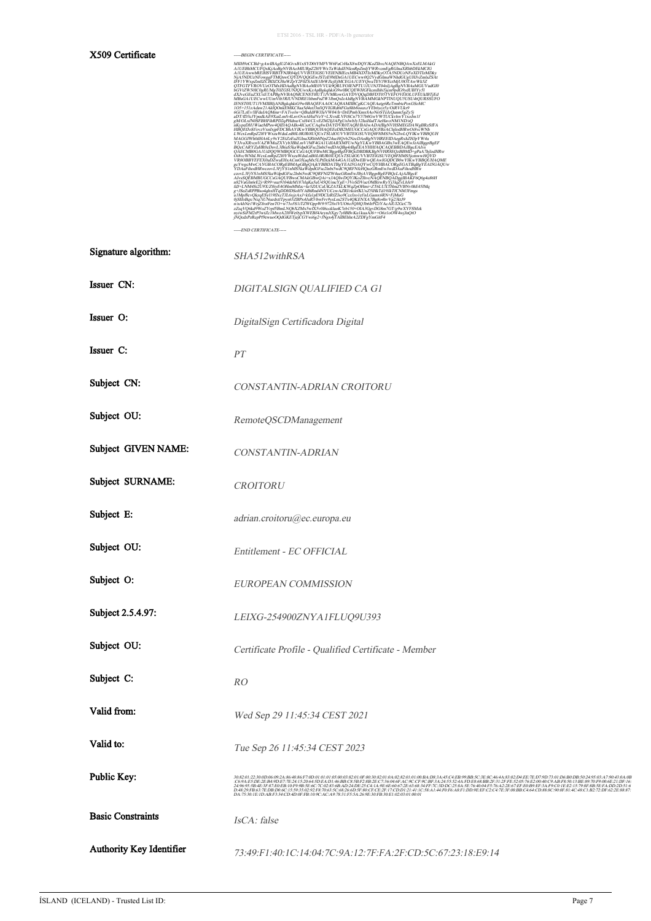|                          | ETSI 2016 - TSL HR - PDF/A-1b generator                                                                                                                                                                                                                                                                                                                                                                                                                                                                                                                                                                                                                                                                                                                                                                                                                                                                                                                                                                                                                                                                                                                                                                                                                                                                                                                                                                                                            |
|--------------------------|----------------------------------------------------------------------------------------------------------------------------------------------------------------------------------------------------------------------------------------------------------------------------------------------------------------------------------------------------------------------------------------------------------------------------------------------------------------------------------------------------------------------------------------------------------------------------------------------------------------------------------------------------------------------------------------------------------------------------------------------------------------------------------------------------------------------------------------------------------------------------------------------------------------------------------------------------------------------------------------------------------------------------------------------------------------------------------------------------------------------------------------------------------------------------------------------------------------------------------------------------------------------------------------------------------------------------------------------------------------------------------------------------------------------------------------------------|
| X509 Certificate         | -----BEGIN CERTIFICATE-----<br>--BEGIC CERTIFICATE: AND MAIN SERVER AND MENOTION IN THE MANUFACTURE IN THE MANUFACTURE IN THE MANUFACTURE IN THE MAIN SERVER AND MANUFACTURE IN THE MANUFACTURE IN THE MANUFACTURE IN THE MANUFACTURE IN THE MANUFACTURE IN T<br>VR0OBBYEFEX0uDŽwuEHxACmOXaqMx5LPtDckMA4GA1UdDwEB/wQEAwIGQDCB0wYIKwYBBQUHAQME<br>gcYwgcMwCAYGBACORgEBMAgGBgQAjkYBBDATBgYEAISGAQYwCQYHBACORgEGATBqBgYEAISGAQUw<br>YDAuFihodHRwczovL3FjYS1nMS5kuWdpdGFsc21nbi5wdC9QRFNicHQucGRmEwIwdDAu<br>$\textsc{cov}(13FYS\textsc{Im} \textsc{M5} \textsc{taWdpdG} \textsc{Fe2} \textsc{Im} \textsc{bi5wd} \textsc{OQ}\textsc{RFN4} \textsc{ic76} \textsc{Im} \textsc{Eu} \textsc{J} \textsc{bi4} \textsc{N} \textsc{geffB} \textsc{Q} \textsc{ch} \textsc{J} \textsc{iA} \textsc{JB} \textsc{geffB} \textsc{Q} \textsc{L4} \textsc{J} \textsc{O} \textsc{f} \textsc{d} \textsc{O} \textsc{f} \textsc{d} \textsc{O} \textsc{$<br>fdJ+LNM4Si2U9X/Z0iyE4OHmMMzc+kr5ZtUCaUKZATkLKWqZpOHmi+ZT6LUXTHmZVBNv0hE45IMq<br>g+SbZSkPPBso4qhxHTqDDHDSoHYABRhad4NYUCcwAZRUrkurKUxZ5IHkTd19JkTfCNM3Fmgs<br>u1Mpf8cvQkzqESy119BxcT1L6xjzAxJ+kh1pE9DCLrRIZJso9CczIzo1efnLGamx6RN+FjMu<br><i><b>U PROPENDAMENTAL CONTRACT CONTRACT AND CONTRACT CONTRACT AND CONTRACT CONTRACT CONTRACT CONTRACT CONTRACT CONTRACT CONTRACT CONTRACT CONTRACT CONTRACT CONTRACT CONTRACT CONTRACT CONTRACT CONTRACT CONTRACT CONTRACT CONTRA</b></i><br>-----END CERTIFICATE----- |
| Signature algorithm:     | SHA512withRSA                                                                                                                                                                                                                                                                                                                                                                                                                                                                                                                                                                                                                                                                                                                                                                                                                                                                                                                                                                                                                                                                                                                                                                                                                                                                                                                                                                                                                                      |
| Issuer CN:               | DIGITALSIGN QUALIFIED CA G1                                                                                                                                                                                                                                                                                                                                                                                                                                                                                                                                                                                                                                                                                                                                                                                                                                                                                                                                                                                                                                                                                                                                                                                                                                                                                                                                                                                                                        |
| Issuer O:                | DigitalSign Certificadora Digital                                                                                                                                                                                                                                                                                                                                                                                                                                                                                                                                                                                                                                                                                                                                                                                                                                                                                                                                                                                                                                                                                                                                                                                                                                                                                                                                                                                                                  |
| Issuer C:                | PT                                                                                                                                                                                                                                                                                                                                                                                                                                                                                                                                                                                                                                                                                                                                                                                                                                                                                                                                                                                                                                                                                                                                                                                                                                                                                                                                                                                                                                                 |
| Subject CN:              | CONSTANTIN-ADRIAN CROITORU                                                                                                                                                                                                                                                                                                                                                                                                                                                                                                                                                                                                                                                                                                                                                                                                                                                                                                                                                                                                                                                                                                                                                                                                                                                                                                                                                                                                                         |
| Subject OU:              | RemoteQSCDManagement                                                                                                                                                                                                                                                                                                                                                                                                                                                                                                                                                                                                                                                                                                                                                                                                                                                                                                                                                                                                                                                                                                                                                                                                                                                                                                                                                                                                                               |
| Subject GIVEN NAME:      | CONSTANTIN-ADRIAN                                                                                                                                                                                                                                                                                                                                                                                                                                                                                                                                                                                                                                                                                                                                                                                                                                                                                                                                                                                                                                                                                                                                                                                                                                                                                                                                                                                                                                  |
| Subject SURNAME:         | <b>CROITORU</b>                                                                                                                                                                                                                                                                                                                                                                                                                                                                                                                                                                                                                                                                                                                                                                                                                                                                                                                                                                                                                                                                                                                                                                                                                                                                                                                                                                                                                                    |
| Subject E:               | adrian.croitoru@ec.europa.eu                                                                                                                                                                                                                                                                                                                                                                                                                                                                                                                                                                                                                                                                                                                                                                                                                                                                                                                                                                                                                                                                                                                                                                                                                                                                                                                                                                                                                       |
| Subject OU:              | Entitlement - EC OFFICIAL                                                                                                                                                                                                                                                                                                                                                                                                                                                                                                                                                                                                                                                                                                                                                                                                                                                                                                                                                                                                                                                                                                                                                                                                                                                                                                                                                                                                                          |
| Subject O:               | EUROPEAN COMMISSION                                                                                                                                                                                                                                                                                                                                                                                                                                                                                                                                                                                                                                                                                                                                                                                                                                                                                                                                                                                                                                                                                                                                                                                                                                                                                                                                                                                                                                |
| Subject 2.5.4.97:        | LEIXG-254900ZNYA1FLUQ9U393                                                                                                                                                                                                                                                                                                                                                                                                                                                                                                                                                                                                                                                                                                                                                                                                                                                                                                                                                                                                                                                                                                                                                                                                                                                                                                                                                                                                                         |
| Subject OU:              | Certificate Profile - Qualified Certificate - Member                                                                                                                                                                                                                                                                                                                                                                                                                                                                                                                                                                                                                                                                                                                                                                                                                                                                                                                                                                                                                                                                                                                                                                                                                                                                                                                                                                                               |
| Subject C:               | RO                                                                                                                                                                                                                                                                                                                                                                                                                                                                                                                                                                                                                                                                                                                                                                                                                                                                                                                                                                                                                                                                                                                                                                                                                                                                                                                                                                                                                                                 |
| Valid from:              | Wed Sep 29 11:45:34 CEST 2021                                                                                                                                                                                                                                                                                                                                                                                                                                                                                                                                                                                                                                                                                                                                                                                                                                                                                                                                                                                                                                                                                                                                                                                                                                                                                                                                                                                                                      |
| Valid to:                | Tue Sep 26 11:45:34 CEST 2023                                                                                                                                                                                                                                                                                                                                                                                                                                                                                                                                                                                                                                                                                                                                                                                                                                                                                                                                                                                                                                                                                                                                                                                                                                                                                                                                                                                                                      |
| Public Key:              | $30:82:01:22:30:0D:06:09:2A:86:48:86:FF:0D:01:01:01:05:00:03:82:01:0F:00:30:82:01:0A:02:82:01:01:00:B\\ A:108:3A:45:Ca+EB:99:BB:5C:3E:8C:46:4A:83:02:D4:EE:TE:D7:9D:73:01:D6:BD:DB:50:24:95:03:A7:04:05:05:05:05:05:05:05:05:05:05:05:05:0$<br>DA:75:30:1E:1D:AB:F3:34:CD:4D:0F:FB:10:9C:AC:A9:78:31:F5:5A:26:9E:30:FB:30:E1:02:03:01:00:01                                                                                                                                                                                                                                                                                                                                                                                                                                                                                                                                                                                                                                                                                                                                                                                                                                                                                                                                                                                                                                                                                                        |
| <b>Basic Constraints</b> | IsCA: false                                                                                                                                                                                                                                                                                                                                                                                                                                                                                                                                                                                                                                                                                                                                                                                                                                                                                                                                                                                                                                                                                                                                                                                                                                                                                                                                                                                                                                        |
| Authority Key Identifier | 73.49.51.40.1C.14.04.7C.9A.12.7F.5A.2F.CD.5C.67.23.18.59.14                                                                                                                                                                                                                                                                                                                                                                                                                                                                                                                                                                                                                                                                                                                                                                                                                                                                                                                                                                                                                                                                                                                                                                                                                                                                                                                                                                                        |

73:49:F1:40:1C:14:04:7C:9A:12:7F:FA:2F:CD:5C:67:23:18:E9:14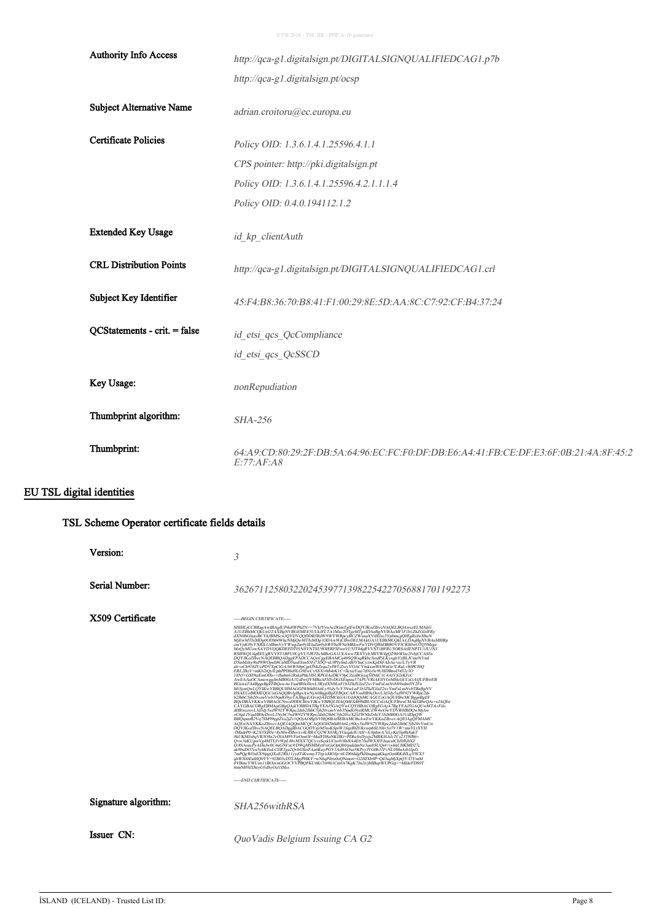| <b>Authority Info Access</b>    | http://qca-g1.digitalsign.pt/DIGITALSIGNQUALIFIEDCAG1.p7b                                           |  |  |
|---------------------------------|-----------------------------------------------------------------------------------------------------|--|--|
|                                 | http://qca-g1.digitalsign.pt/ocsp                                                                   |  |  |
| <b>Subject Alternative Name</b> | adrian.croitoru@ec.europa.eu                                                                        |  |  |
| <b>Certificate Policies</b>     | Policy OID: 1.3.6.1.4.1.25596.4.1.1                                                                 |  |  |
|                                 | CPS pointer: http://pki.digitalsign.pt                                                              |  |  |
|                                 | Policy OID: 1.3.6.1.4.1.25596.4.2.1.1.1.4                                                           |  |  |
|                                 | Policy OID: 0.4.0.194112.1.2                                                                        |  |  |
| <b>Extended Key Usage</b>       | id kp clientAuth                                                                                    |  |  |
| <b>CRL Distribution Points</b>  | http://qca-g1.digitalsign.pt/DIGITALSIGNQUALIFIEDCAG1.crl                                           |  |  |
| Subject Key Identifier          | 45:F4:B8:36:70:B8:41:F1:00:29:8E:5D:AA:8C:C7:92:CF:B4:37:24                                         |  |  |
| QCStatements - crit. = false    | id etsi qcs QcCompliance                                                                            |  |  |
|                                 | id etsi qcs QcSSCD                                                                                  |  |  |
| Key Usage:                      | nonRepudiation                                                                                      |  |  |
| Thumbprint algorithm:           | <b>SHA-256</b>                                                                                      |  |  |
| Thumbprint:                     | 64:A9:CD:80:29:2F:DB:5A:64:96:EC:FC:F0:DF:DB:E6:A4:41:FB:CE:DF:E3:6F:0B:21:4A:8F:45:2<br>E:77:AF:AS |  |  |

## EU TSL digital identities

| TSL Scheme Operator certificate fields details |                                                                                                                                                                                                                                                                                                                                                                                                                                                                                                                                                                                                                                                                                                                                                                                                                                                                                                                                                                                                                                                                                                                                                                                                                                                                                                                                                                                                                                                                                                                                                                                                                                                                                                                                                                                                                                                                                                                                                                                                                                               |  |
|------------------------------------------------|-----------------------------------------------------------------------------------------------------------------------------------------------------------------------------------------------------------------------------------------------------------------------------------------------------------------------------------------------------------------------------------------------------------------------------------------------------------------------------------------------------------------------------------------------------------------------------------------------------------------------------------------------------------------------------------------------------------------------------------------------------------------------------------------------------------------------------------------------------------------------------------------------------------------------------------------------------------------------------------------------------------------------------------------------------------------------------------------------------------------------------------------------------------------------------------------------------------------------------------------------------------------------------------------------------------------------------------------------------------------------------------------------------------------------------------------------------------------------------------------------------------------------------------------------------------------------------------------------------------------------------------------------------------------------------------------------------------------------------------------------------------------------------------------------------------------------------------------------------------------------------------------------------------------------------------------------------------------------------------------------------------------------------------------------|--|
| Version:                                       | 3                                                                                                                                                                                                                                                                                                                                                                                                                                                                                                                                                                                                                                                                                                                                                                                                                                                                                                                                                                                                                                                                                                                                                                                                                                                                                                                                                                                                                                                                                                                                                                                                                                                                                                                                                                                                                                                                                                                                                                                                                                             |  |
| Serial Number:                                 | 362671125803220245397713982254227056881701192273                                                                                                                                                                                                                                                                                                                                                                                                                                                                                                                                                                                                                                                                                                                                                                                                                                                                                                                                                                                                                                                                                                                                                                                                                                                                                                                                                                                                                                                                                                                                                                                                                                                                                                                                                                                                                                                                                                                                                                                              |  |
| X509 Certificate                               | ----- BEGIN CERTIFICATE -----<br>dXN0bGluayBCVkJBMScwJQYDVQQDDB5RdW9WYWRpcyBCZWxnaXVtIEIzc3VpbmcgQ0EgRzIwHhcN<br>STEWARTSJAD-20DDMAWR-NMCWMTEMDE1ODA wWYCHWEH MAKGATUEEDMACORUSTLES AREANTAMDE0DDMAWR-NMCWMTEMDE1ODA WYCHWEH MA<br>CarVjdGOYY XRILUdlmaVy YWWEHMDE1ODA wWYCHWEH MAKGATUEEDMACORUSTLESAARDEN MAKGATUEEDMACORUSTLESAARDEN<br>CarVjdGOYY<br>RSBWQU4eREUgRVVST1BFU0UgVU5JRTEeMBoGA1UEAwwTRXVyb3BIYW4gQ29tbWlze2lvhjCCASIw<br>DQYJR6ZlftveNAQEBBQADggEPADCCAQeCggEBAMCq40SQWqaRkbcSnsdPjLKyxghYzBLJCmeN3/nd<br>D5mMzhy9tsP8WQpsfi8CnMD5tasEEmS5Fj73DQ+sL9PtyfmLzBJVhuCyzwKpDiFAhAa<br>$a6+oCh918ZUcPDVXpCtGA3t6WS0pCgrIJNkZcqu2yIWUZxivVOACYmkxmWhWnGc7LRal.v80PC10Q ERL2BzV+mKb2tQyIUphpP18hd9LG9EwCvSSXv0tb4rK1C+llcxuYsu7dNyfwyUHDBnu15452c3O$<br>18N5+GSI9uiEmOl8s+1-fbubn61RskePhk3ISURPGIAeDKV9pCZezBGysq5IINkC1C4AtYS2eKFeC<br>AwEAAaOCAmowggJmMB8GA1UdIwQYMBaAFII/sDGXEngna37APUVRAEII/VGMHcGCC5GAQUFBwEB<br>BGswaTA4BggrBgEFBQewAoYsaHR0eDovL3RydXN0LnF1b3ZhZGbzZ2xvYmFs1.mNvbS9<br>Mi5jcnQwLQYIKwYBBQUHMAGGIWh0dHA6Ly91dy5vY3NwLnF1b3ZhZGlzZ2xvYmFsLmNvbTBaBgNV<br>HSAEUzBRMEQGCisGAQQBvlgBgxAwNjA0BggrBgEFBQcCARYoaHR0cDovL3d3dy5xdW92YWRpc2ds<br>b2JhbC5jb20vcmVwb3NpdG9yeTAJBgcEAIvsOAEDMCkGA1UdJQOiMCAGCCsGAQUFBwMCBggrBgEF<br>BQcDBAYKKwYBBAGCNwoDDDCBiwYIKwYBBQUHAQMEtzB9MBUGCCsGAQUFBwsCMAkGBwQAi+xJAQIw<br>BBÖspnrB2Vq7SM99egtŽxs2jZv1QOjAOBgNVHQ8BAfŠEBAMCBsAwEwYKKoZIhvcvAQEJAgQFMAMC<br>BROBRIDG - VAN SOMEROLOGIE (SOMEROLOGIE) (SOMEROLOGIE) (SOMEROLOGIE) (SOMEROLOGIE) (SOMEROLOGIE) (SOMEROLOGIE) (SOMEROLOGIE) (SOMEROLOGIE) (SOMEROLOGIE) (SOMEROLOGIE) (SOMEROLOGIE) (SOMEROLOGIE) (SOMEROLOGIE) (SOMEROLOGIE)<br>ak9buDO7cu5yhKEuLCERTga2QvbGSeiFAa6KuyPGY1Ad9AOuz5KPyyfVG0h31FvNL0MnAib1IpZr<br>7mPQgWOsEX9ipgQXoE2Rh11yydTiKwmyTTrp/uMOJp+6UD06IdgPkHmqnqaKkqzGu6RKiHLqYWX5<br>qhWXt0EatHQ0YY+92B03cDTLMgjPHKY+wN6qPfetz0oQNmort+G2HIXb9P+Q43sqMjXpQY/I3YmM<br>0VBmcYWUon11BOavnGGOCVVPBQFKU6Kt7r69li1CmfA7KgK7Jn2o/jb8BupWUPGej++MkkrFDS0T<br>6tmNH9ZDteyO3dSyOcl1IHcs<br>----END CERTIFICATE---- |  |
| Signature algorithm:                           | SHA256withRSA                                                                                                                                                                                                                                                                                                                                                                                                                                                                                                                                                                                                                                                                                                                                                                                                                                                                                                                                                                                                                                                                                                                                                                                                                                                                                                                                                                                                                                                                                                                                                                                                                                                                                                                                                                                                                                                                                                                                                                                                                                 |  |
| Issuer CN:                                     | Quo Vadis Belgium Issuing CA G2                                                                                                                                                                                                                                                                                                                                                                                                                                                                                                                                                                                                                                                                                                                                                                                                                                                                                                                                                                                                                                                                                                                                                                                                                                                                                                                                                                                                                                                                                                                                                                                                                                                                                                                                                                                                                                                                                                                                                                                                               |  |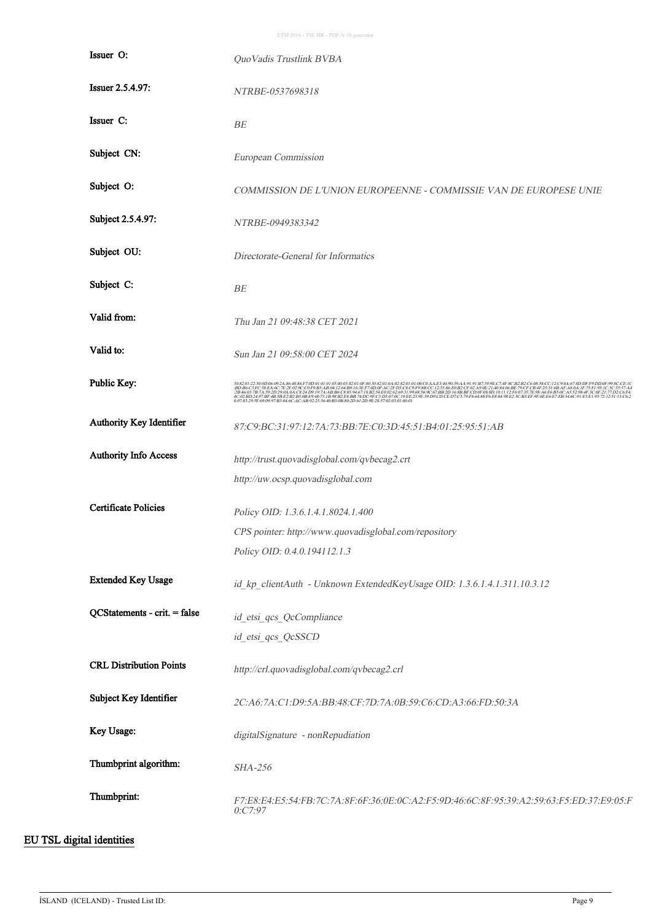|  |  | ETSI 2016 - TSL HR - PDF/A-1b generator |
|--|--|-----------------------------------------|

| Issuer O:                      | QuoVadis Trustlink BVBA                                                                                                                                                                                                           |
|--------------------------------|-----------------------------------------------------------------------------------------------------------------------------------------------------------------------------------------------------------------------------------|
| Issuer 2.5.4.97:               | NTRBE-0537698318                                                                                                                                                                                                                  |
| Issuer C:                      | BЕ                                                                                                                                                                                                                                |
| Subject CN:                    | European Commission                                                                                                                                                                                                               |
| Subject O:                     | COMMISSION DE L'UNION EUROPEENNE - COMMISSIE VAN DE EUROPESE UNIE                                                                                                                                                                 |
| Subject 2.5.4.97:              | NTRBE-0949383342                                                                                                                                                                                                                  |
| Subject OU:                    | Directorate-General for Informatics                                                                                                                                                                                               |
| Subject C:                     | BЕ                                                                                                                                                                                                                                |
| Valid from:                    | Thu Jan 21 09:48:38 CET 2021                                                                                                                                                                                                      |
| Valid to:                      | Sun Jan 21 09:58:00 CET 2024                                                                                                                                                                                                      |
| Public Key:                    | 3082.01.22:30.0D:06:09:24:86:48:86:F7:0D:01:01:01:00:32:01:0F:08:30:30:01:00:20:02:04:03:44:04:94:A-919:13:399EC7:4F:8CB2B2C6:08:8CC:12C9:0A:67:8D:DFF9:DD:0F99:8CCE:1C<br>BD:66:03:FC:8EA 6C7E2:029:C0:F9:B5:B84:E6:49916:EE7:0D |
| Authority Key Identifier       | 87:C9:BC:31:97:12:7A:73:BB:7E:C0:3D:45:51:B4:01:25:95:51:AB                                                                                                                                                                       |
|                                |                                                                                                                                                                                                                                   |
| Authority Info Access          | http://trust.quovadisglobal.com/qvbecag2.crt                                                                                                                                                                                      |
|                                | http://uw.ocsp.quovadisglobal.com                                                                                                                                                                                                 |
| <b>Certificate Policies</b>    | Policy OID: 1.3.6.1.4.1.8024.1.400                                                                                                                                                                                                |
|                                | CPS pointer: http://www.quovadisglobal.com/repository                                                                                                                                                                             |
|                                | Policy OID: 0.4.0.194112.1.3                                                                                                                                                                                                      |
| <b>Extended Key Usage</b>      | id_kp_clientAuth - Unknown ExtendedKeyUsage OID: 1.3.6.1.4.1.311.10.3.12                                                                                                                                                          |
| QCStatements - crit. = false   |                                                                                                                                                                                                                                   |
|                                | id etsi qcs QcCompliance<br>id_etsi_qcs_QcSSCD                                                                                                                                                                                    |
| <b>CRL Distribution Points</b> | http://crl.quovadisglobal.com/qvbecag2.crl                                                                                                                                                                                        |
| Subject Key Identifier         | 2C:A6:7A:C1:D9:5A:BB:48:CF:7D:7A:0B:59:C6:CD:A3:66:FD:50:3A                                                                                                                                                                       |
| Key Usage:                     | digitalSignature - nonRepudiation                                                                                                                                                                                                 |
| Thumbprint algorithm:          | <b>SHA-256</b>                                                                                                                                                                                                                    |

### EU TSL digital identities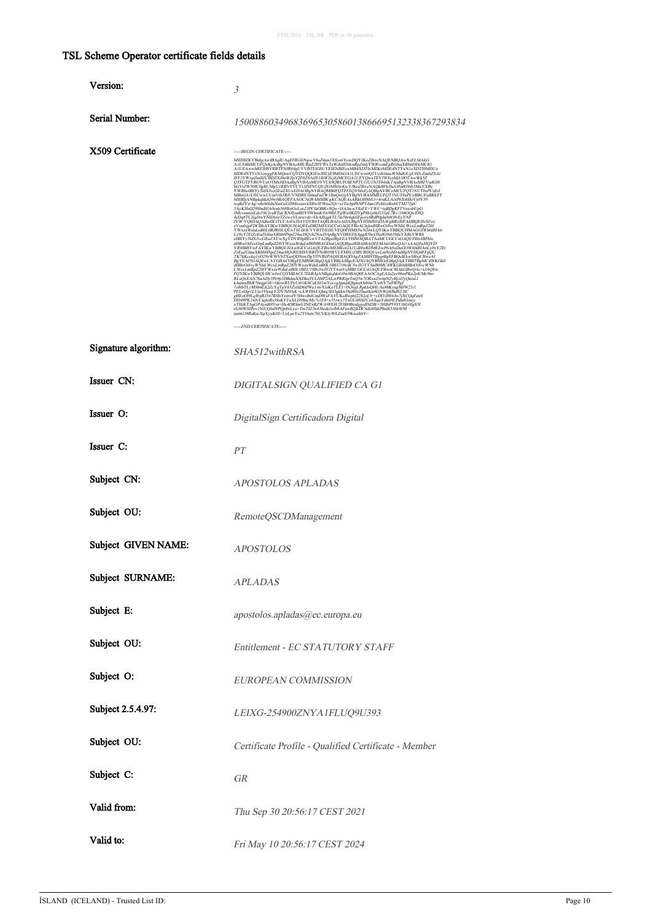### TSL Scheme Operator certificate fields details

| Version:             | 3                                                                                                                                                                                                                                                                                                                                                                                                                                                                                                                                                                                                                                                                                                                                                                                                                                                                                                                                                                                                                                                                                                                                                                                                                                                                                                                                                                                                                                                                                                                                                                                                                                                                                                                                                                                                                                                          |
|----------------------|------------------------------------------------------------------------------------------------------------------------------------------------------------------------------------------------------------------------------------------------------------------------------------------------------------------------------------------------------------------------------------------------------------------------------------------------------------------------------------------------------------------------------------------------------------------------------------------------------------------------------------------------------------------------------------------------------------------------------------------------------------------------------------------------------------------------------------------------------------------------------------------------------------------------------------------------------------------------------------------------------------------------------------------------------------------------------------------------------------------------------------------------------------------------------------------------------------------------------------------------------------------------------------------------------------------------------------------------------------------------------------------------------------------------------------------------------------------------------------------------------------------------------------------------------------------------------------------------------------------------------------------------------------------------------------------------------------------------------------------------------------------------------------------------------------------------------------------------------------|
| Serial Number:       | 15008860349683696530586013866695132338367293834                                                                                                                                                                                                                                                                                                                                                                                                                                                                                                                                                                                                                                                                                                                                                                                                                                                                                                                                                                                                                                                                                                                                                                                                                                                                                                                                                                                                                                                                                                                                                                                                                                                                                                                                                                                                            |
| X509 Certificate     | -----BEGIN CERTIFICATE-----<br>MIIHSIOC CHAPAPERIONS (SAMEROVACA) (SAMEROVACA)<br>MIIHSIOC CHAPAPERIONS (SAMERONING VACA)<br>ALIEBANCIA (MERCHING VACA)<br>ALIEBANCIA (MERCHING VACA)<br>ALIEBANCIA (SAMERONING VACA)<br>ALIEBANCIA (SAMERONING VACA)<br>ALIEBANCIA (SAME<br>YWxzaWduLnB0L0RJR0IUQUxTSUdOUVVBTEIGSUVEQ0FHMS5wN21wLQYIKwYBBQUHMAGGIWh0dHA6<br>Ly%Y2EtZzEdZGImMXhbHNpZ24ucHQvbZNxzDApBgNVHREEI/AggR5bcG9zdG9xbDMuYXBsYWRh<br>c0BIYy51dXJvcGEuZXUwXgYDVR0gBFcwVTA2BgsrBgEEAYHHFAQBATAnMCUGCCSGAQUFBw<br>dHRwOi8vcGipLmRpZ2l0YWxzaWduLnB0MBAGDisGAQQBgcd8BAIBAQEEMAkGBwQAi+xAAQIwHQYD<br>VR0JBBYwFAYIKwYBBQUHAwIGCCSGAQUFBwMEMEGGAIUdHwRDMEEwP6A9oDuG0WhddHA6LysxY2Et<br>ZzEuZGinaXRbbHNpZ24ucHQvREHISVRBTFNJR05RVUFMSUZJRURDQUcxLmNybDAdBgNV<br>TK7kKcckq1yO29zWWVbTXsoQDNswDgYDVR0PAQH/BAQDAgZAMIHTBggrBgfcFBQcBAwSBxjCBwzAI<br>BgYEA15GAQEwCAYGBACORgEEMBMGBgQAjkYBBJAJkPgcEA15GAQYBMGoGBgQAjkYBBTEgMC4WKGh0<br>dHBzOi8vcWNhLWcxLmRpZ2l0YWxzaWduLnB0L1BEU19vdC5wZGYTAnB0MC4WKGh0dH<br>LWexLmRpZ210YWxzaWduLnB0L1BEU191bi5wZGYTAmVuMBUGCCsGAQUFBwsCMAkGBwQAi+xJAQEw<br>FQYIKwYBBQUHCwiwCQYHBACLTEkBAjANBgkqhkG9w0BAQ0FAAQCAgEAJu2ay08mPKn2pS/Mc966<br>RLsQxEAIx7baADy3Pe9p1DBdmXXDkuTCLH4P2ALzrPRRIgrTnQ5w70RxnZw6pNZyBj/d3<br>$\begin{array}{l} \textbf{L1}[\textbf{S}(\textbf{0},\textbf{1},\textbf{2},\textbf{3},\textbf{1},\textbf{1},\textbf{1},\textbf{1},\textbf{1},\textbf{1},\textbf{1},\textbf{1},\textbf{1},\textbf{1},\textbf{1},\textbf{1},\textbf{1},\textbf{1},\textbf{1},\textbf{1},\textbf{1},\textbf{1},\textbf{1},\textbf{1},\textbf{1},\textbf{1},\textbf{1},\textbf{1},\textbf{1},\textbf{1},\textbf{1},\textbf{1},\textbf{1},\text$<br>${rEJ49ESIPov1NiUQlalNPQp8xLyu+TmTIZ3n43bedolobt8AFawB2jkDCSdz8flikPIh dS336hWM}$ ${rmG38RsKu/ Xp XyyK05+UeLp eYu2YOutn7bUVKlyWLZs aS59kwalib Y=}$<br>-----END CERTIFICATE----- |
| Signature algorithm: | SHA512withRSA                                                                                                                                                                                                                                                                                                                                                                                                                                                                                                                                                                                                                                                                                                                                                                                                                                                                                                                                                                                                                                                                                                                                                                                                                                                                                                                                                                                                                                                                                                                                                                                                                                                                                                                                                                                                                                              |
| Issuer CN:           | DIGITALSIGN QUALIFIED CA G1                                                                                                                                                                                                                                                                                                                                                                                                                                                                                                                                                                                                                                                                                                                                                                                                                                                                                                                                                                                                                                                                                                                                                                                                                                                                                                                                                                                                                                                                                                                                                                                                                                                                                                                                                                                                                                |
| Issuer O:            | DigitalSign Certificadora Digital                                                                                                                                                                                                                                                                                                                                                                                                                                                                                                                                                                                                                                                                                                                                                                                                                                                                                                                                                                                                                                                                                                                                                                                                                                                                                                                                                                                                                                                                                                                                                                                                                                                                                                                                                                                                                          |
| Issuer C:            | PT                                                                                                                                                                                                                                                                                                                                                                                                                                                                                                                                                                                                                                                                                                                                                                                                                                                                                                                                                                                                                                                                                                                                                                                                                                                                                                                                                                                                                                                                                                                                                                                                                                                                                                                                                                                                                                                         |
| Subject CN:          | <i>APOSTOLOS APLADAS</i>                                                                                                                                                                                                                                                                                                                                                                                                                                                                                                                                                                                                                                                                                                                                                                                                                                                                                                                                                                                                                                                                                                                                                                                                                                                                                                                                                                                                                                                                                                                                                                                                                                                                                                                                                                                                                                   |
| Subject OU:          | RemoteQSCDManagement                                                                                                                                                                                                                                                                                                                                                                                                                                                                                                                                                                                                                                                                                                                                                                                                                                                                                                                                                                                                                                                                                                                                                                                                                                                                                                                                                                                                                                                                                                                                                                                                                                                                                                                                                                                                                                       |
| Subject GIVEN NAME:  | <i>APOSTOLOS</i>                                                                                                                                                                                                                                                                                                                                                                                                                                                                                                                                                                                                                                                                                                                                                                                                                                                                                                                                                                                                                                                                                                                                                                                                                                                                                                                                                                                                                                                                                                                                                                                                                                                                                                                                                                                                                                           |
| Subject SURNAME:     | <i>APLADAS</i>                                                                                                                                                                                                                                                                                                                                                                                                                                                                                                                                                                                                                                                                                                                                                                                                                                                                                                                                                                                                                                                                                                                                                                                                                                                                                                                                                                                                                                                                                                                                                                                                                                                                                                                                                                                                                                             |
| Subject E:           | apostolos.apladas@ec.europa.eu                                                                                                                                                                                                                                                                                                                                                                                                                                                                                                                                                                                                                                                                                                                                                                                                                                                                                                                                                                                                                                                                                                                                                                                                                                                                                                                                                                                                                                                                                                                                                                                                                                                                                                                                                                                                                             |
| Subject OU:          | Entitlement - EC STATUTORY STAFF                                                                                                                                                                                                                                                                                                                                                                                                                                                                                                                                                                                                                                                                                                                                                                                                                                                                                                                                                                                                                                                                                                                                                                                                                                                                                                                                                                                                                                                                                                                                                                                                                                                                                                                                                                                                                           |
| Subject O:           | <b>EUROPEAN COMMISSION</b>                                                                                                                                                                                                                                                                                                                                                                                                                                                                                                                                                                                                                                                                                                                                                                                                                                                                                                                                                                                                                                                                                                                                                                                                                                                                                                                                                                                                                                                                                                                                                                                                                                                                                                                                                                                                                                 |
| Subject 2.5.4.97:    | LEIXG-254900ZNYA1FLUQ9U393                                                                                                                                                                                                                                                                                                                                                                                                                                                                                                                                                                                                                                                                                                                                                                                                                                                                                                                                                                                                                                                                                                                                                                                                                                                                                                                                                                                                                                                                                                                                                                                                                                                                                                                                                                                                                                 |
| Subject OU:          | Certificate Profile - Qualified Certificate - Member                                                                                                                                                                                                                                                                                                                                                                                                                                                                                                                                                                                                                                                                                                                                                                                                                                                                                                                                                                                                                                                                                                                                                                                                                                                                                                                                                                                                                                                                                                                                                                                                                                                                                                                                                                                                       |
| Subject C:           | <b>GR</b>                                                                                                                                                                                                                                                                                                                                                                                                                                                                                                                                                                                                                                                                                                                                                                                                                                                                                                                                                                                                                                                                                                                                                                                                                                                                                                                                                                                                                                                                                                                                                                                                                                                                                                                                                                                                                                                  |
| Valid from:          | Thu Sep 30 20:56:17 CEST 2021                                                                                                                                                                                                                                                                                                                                                                                                                                                                                                                                                                                                                                                                                                                                                                                                                                                                                                                                                                                                                                                                                                                                                                                                                                                                                                                                                                                                                                                                                                                                                                                                                                                                                                                                                                                                                              |
| Valid to:            | Fri May 10 20:56:17 CEST 2024                                                                                                                                                                                                                                                                                                                                                                                                                                                                                                                                                                                                                                                                                                                                                                                                                                                                                                                                                                                                                                                                                                                                                                                                                                                                                                                                                                                                                                                                                                                                                                                                                                                                                                                                                                                                                              |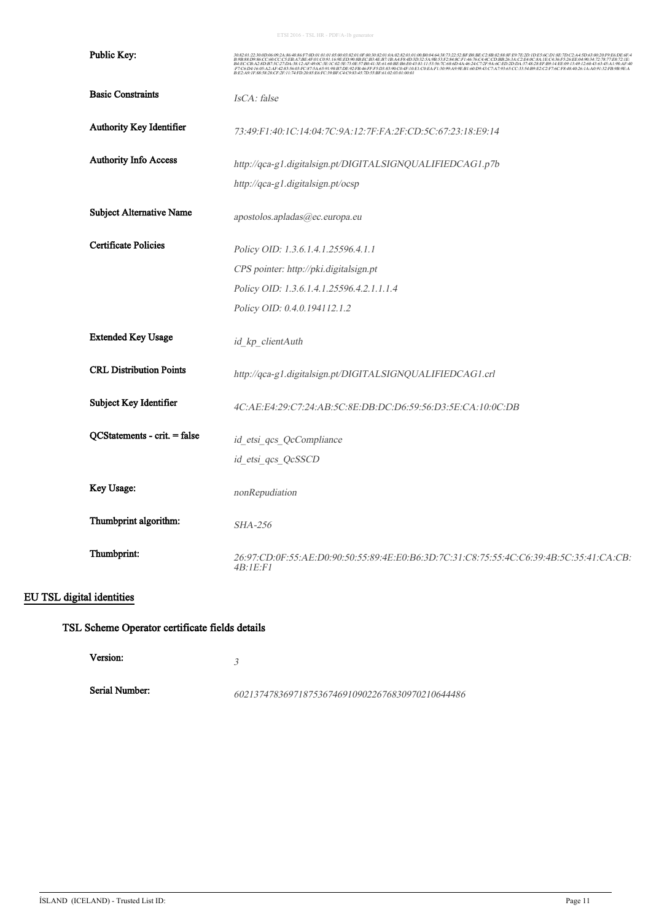| ETSI 2016 - TSL HR - PDF/A-1b generator |  |  |
|-----------------------------------------|--|--|

| Public Key:                     | 3082-0122304026692A364836F74D4141415400332414F403082414A4282414140B046618732252BFB8BEC28B8PE97E2D1DE56CD18E7DC2:A45D634020F9E6DE6F4<br>B9B88D986CC60CCC5BA71BE4F91C091169E0D908BECB34EB71BA4F84D3D325A9B53F2848CF14676C44CC4BB263 |
|---------------------------------|-----------------------------------------------------------------------------------------------------------------------------------------------------------------------------------------------------------------------------------|
| <b>Basic Constraints</b>        | IsCA: false                                                                                                                                                                                                                       |
| Authority Key Identifier        | 73:49:F1:40:1C:14:04:7C:9A:12:7F:FA:2F:CD:5C:67:23:18:E9:14                                                                                                                                                                       |
| <b>Authority Info Access</b>    | http://qca-g1.digitalsign.pt/DIGITALSIGNQUALIFIEDCAG1.p7b                                                                                                                                                                         |
|                                 | http://qca-g1.digitalsign.pt/ocsp                                                                                                                                                                                                 |
| <b>Subject Alternative Name</b> | apostolos.apladas@ec.europa.eu                                                                                                                                                                                                    |
| <b>Certificate Policies</b>     | Policy OID: 1.3.6.1.4.1.25596.4.1.1                                                                                                                                                                                               |
|                                 | CPS pointer: http://pki.digitalsign.pt                                                                                                                                                                                            |
|                                 | Policy OID: 1.3.6.1.4.1.25596.4.2.1.1.1.4                                                                                                                                                                                         |
|                                 | Policy OID: 0.4.0.194112.1.2                                                                                                                                                                                                      |
| <b>Extended Key Usage</b>       | id kp_clientAuth                                                                                                                                                                                                                  |
| <b>CRL Distribution Points</b>  | http://qca-g1.digitalsign.pt/DIGITALSIGNQUALIFIEDCAG1.crl                                                                                                                                                                         |
| Subject Key Identifier          | 4C:AE:E4:29:C7:24:AB:5C:8E:DB:DC:D6:59:56:D3:5E:CA:10:0C:DB                                                                                                                                                                       |
| QCStatements - crit. = false    | id etsi qcs QcCompliance                                                                                                                                                                                                          |
|                                 | id etsi qcs QcSSCD                                                                                                                                                                                                                |
| Key Usage:                      | nonRepudiation                                                                                                                                                                                                                    |
| Thumbprint algorithm:           | <b>SHA-256</b>                                                                                                                                                                                                                    |
| Thumbprint:                     | 26:97:CD:0F:55:AE:D0:90:50:55:89:4E:E0:B6:3D:7C:31:C8:75:55:4C:C6:39:4B:5C:35:41:CA:CB:<br>4B.1E.F1                                                                                                                               |

### EU TSL digital identities

TSL Scheme Operator certificate fields details

| <b>Version:</b> |                                                 |
|-----------------|-------------------------------------------------|
| Serial Number:  | 60213747836971875367469109022676830970210644486 |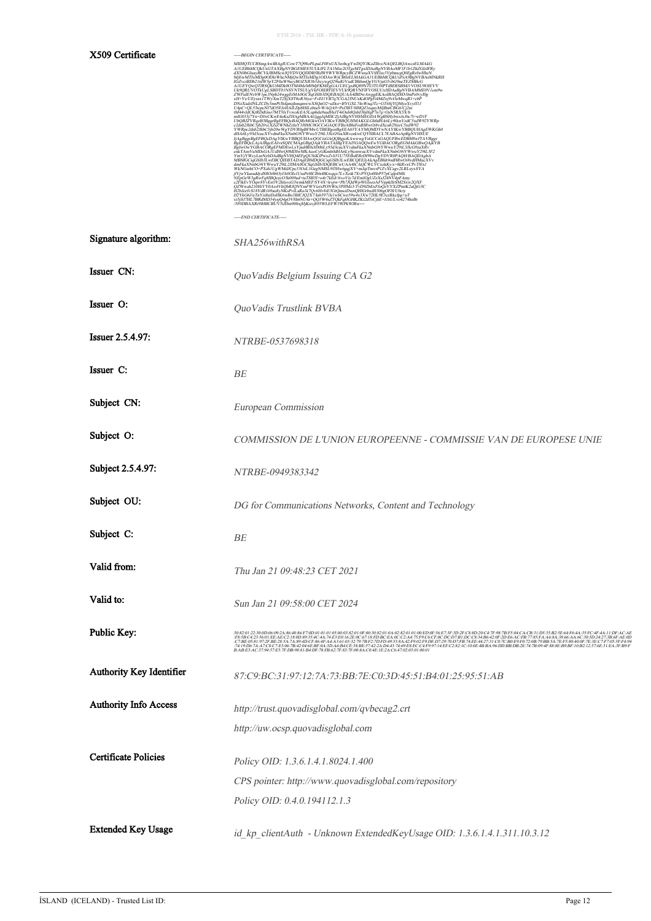| X509 Certificate             | -----BEGIN CERTIFICATE-----                                                                                                                                                                                                                                                                               |
|------------------------------|-----------------------------------------------------------------------------------------------------------------------------------------------------------------------------------------------------------------------------------------------------------------------------------------------------------|
|                              | -----END CERTIFICATE-----                                                                                                                                                                                                                                                                                 |
| Signature algorithm:         | SHA256withRSA                                                                                                                                                                                                                                                                                             |
| Issuer CN:                   | QuoVadis Belgium Issuing CA G2                                                                                                                                                                                                                                                                            |
| Issuer O:                    | QuoVadis Trustlink BVBA                                                                                                                                                                                                                                                                                   |
| <b>Issuer 2.5.4.97:</b>      | NTRBE-0537698318                                                                                                                                                                                                                                                                                          |
| Issuer C:                    | BЕ                                                                                                                                                                                                                                                                                                        |
| Subject CN:                  | European Commission                                                                                                                                                                                                                                                                                       |
| Subject O:                   | COMMISSION DE L'UNION EUROPEENNE - COMMISSIE VAN DE EUROPESE UNIE                                                                                                                                                                                                                                         |
| Subject 2.5.4.97:            | NTRBE-0949383342                                                                                                                                                                                                                                                                                          |
| Subject OU:                  | DG for Communications Networks, Content and Technology                                                                                                                                                                                                                                                    |
| Subject C:                   | BЕ                                                                                                                                                                                                                                                                                                        |
| Valid from:                  | Thu Jan 21 09:48:23 CET 2021                                                                                                                                                                                                                                                                              |
| Valid to:                    | Sun Jan 21 09:58:00 CET 2024                                                                                                                                                                                                                                                                              |
| Public Key:                  | 30:82:01:22:30:0D:06:09:2A:8648:86:F7:0D:01:01:05:00:03:82:01:0F:00:30:82:01:0A:02:82:01:01:00:ED:0F:56:E7:3F:3D:2F:C8:8D:20:C4:7F:98:7B:F3:04:CA:CB:31:D5:35:B2:5E:64:F6:4A:35:FC:4F:4A:11:DF:AC:AE<br>B:AB:E3:AC:37:94:57:E5:7F:DB:98:81:B4:DF:78:FB:62:7F:83:7F:00:8A:C0:4E:1E:2A:C6:47:02:03:01:00:01 |
| Authority Key Identifier     | 87:C9:BC:31:97:12:7A:73:BB:7E:C0:3D:45:51:B4:01:25:95:51:AB                                                                                                                                                                                                                                               |
| <b>Authority Info Access</b> | http://trust.quovadisglobal.com/qvbecag2.crt                                                                                                                                                                                                                                                              |
|                              | http://uw.ocsp.quovadisglobal.com                                                                                                                                                                                                                                                                         |
| <b>Certificate Policies</b>  | Policy OID: 1.3.6.1.4.1.8024.1.400                                                                                                                                                                                                                                                                        |
|                              | CPS pointer: http://www.quovadisglobal.com/repository                                                                                                                                                                                                                                                     |
|                              | Policy OID: 0.4.0.194112.1.3                                                                                                                                                                                                                                                                              |
| <b>Extended Key Usage</b>    | id_kp_clientAuth - Unknown ExtendedKeyUsage OID: 1.3.6.1.4.1.311.10.3.12                                                                                                                                                                                                                                  |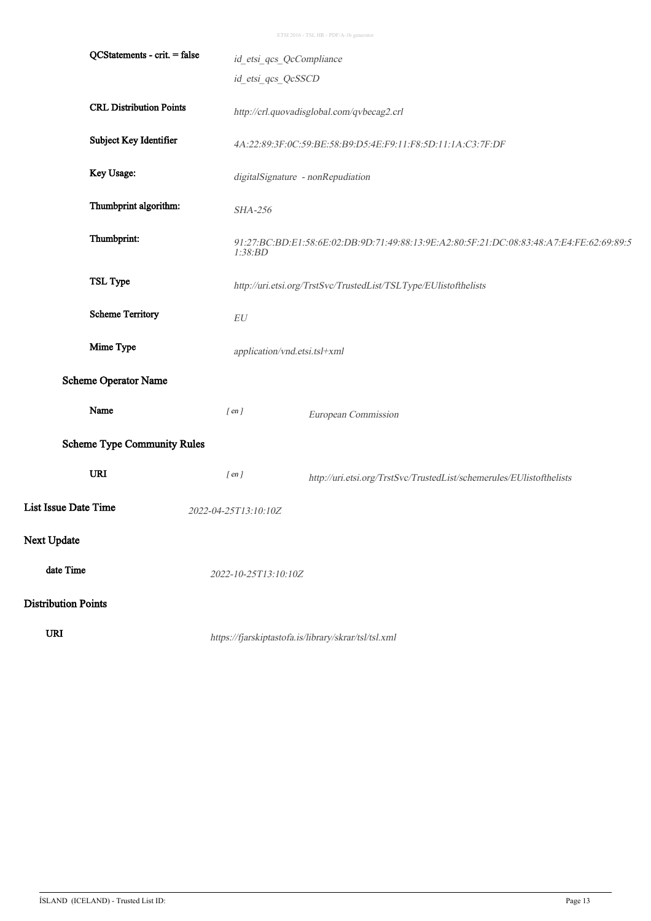| QCStatements - crit. = false       |                              | id etsi qcs QcCompliance                                                                 |  |
|------------------------------------|------------------------------|------------------------------------------------------------------------------------------|--|
|                                    |                              | id etsi qcs QcSSCD                                                                       |  |
| <b>CRL Distribution Points</b>     |                              | http://crl.quovadisglobal.com/qvbecag2.crl                                               |  |
| Subject Key Identifier             |                              | 4A:22:89:3F:0C:59:BE:58:B9:D5:4E:F9:11:F8:5D:11:1A:C3:7F:DF                              |  |
| Key Usage:                         |                              | digitalSignature - nonRepudiation                                                        |  |
| Thumbprint algorithm:              | SHA-256                      |                                                                                          |  |
| Thumbprint:                        | 1:38:BD                      | 91.27:BC:BD:E1:58:6E:02:DB:9D:71:49:88:13:9E:A2:80:5F:21:DC:08:83:48:A7:E4:FE:62:69:89:5 |  |
| TSL Type                           |                              | http://uri.etsi.org/TrstSvc/TrustedList/TSLType/EUlistofthelists                         |  |
| <b>Scheme Territory</b>            | ${\cal E} U$                 |                                                                                          |  |
| Mime Type                          | application/vnd.etsi.tsl+xml |                                                                                          |  |
| <b>Scheme Operator Name</b>        |                              |                                                                                          |  |
| Name                               | $[$ en $]$                   | European Commission                                                                      |  |
| <b>Scheme Type Community Rules</b> |                              |                                                                                          |  |
| <b>URI</b>                         | $[$ en $]$                   | http://uri.etsi.org/TrstSvc/TrustedList/schemerules/EUlistofthelists                     |  |
| List Issue Date Time               | 2022-04-25T13:10:10Z         |                                                                                          |  |
| Next Update                        |                              |                                                                                          |  |
| date Time                          |                              | 2022-10-25T13:10:10Z                                                                     |  |
| <b>Distribution Points</b>         |                              |                                                                                          |  |
| URI                                |                              | https://fjarskiptastofa.is/library/skrar/tsl/tsl.xml                                     |  |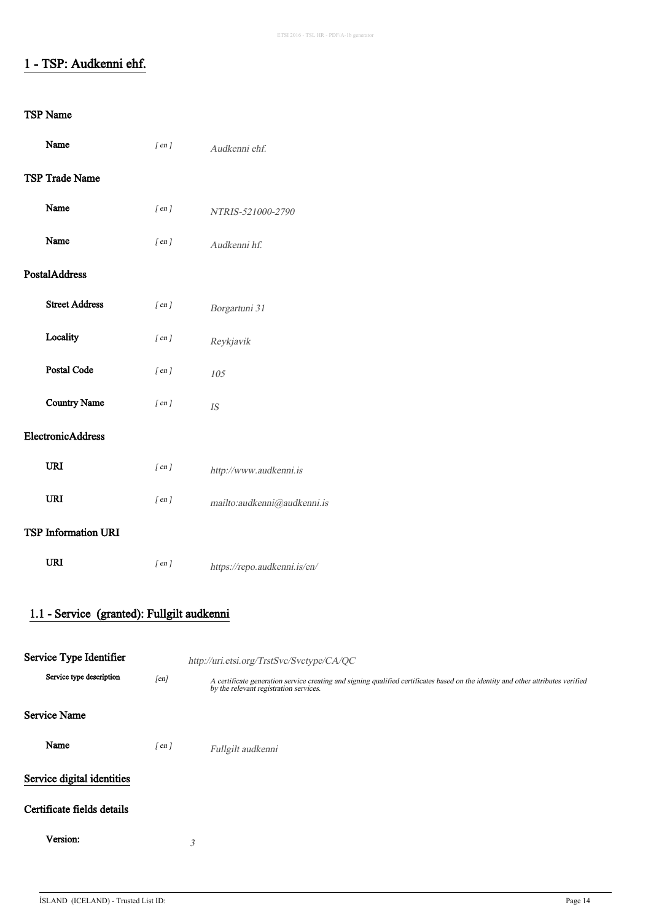### 1 - TSP: Audkenni ehf.

### TSP Name

| Name                       | $[$ en $]$ | Audkenni ehf.                |
|----------------------------|------------|------------------------------|
| TSP Trade Name             |            |                              |
| Name                       | $[$ en $]$ | NTRIS-521000-2790            |
| Name                       | $[$ en $]$ | Audkenni hf                  |
| <b>PostalAddress</b>       |            |                              |
| <b>Street Address</b>      | $[$ en $]$ | Borgartuni 31                |
| Locality                   | $[$ en $]$ | Reykjavik                    |
| <b>Postal Code</b>         | $[$ en $]$ | 105                          |
| <b>Country Name</b>        | $[$ en $]$ | <b>IS</b>                    |
| ElectronicAddress          |            |                              |
| <b>URI</b>                 | $[$ en $]$ | http://www.audkenni.is       |
| <b>URI</b>                 | $[$ en $]$ | mailto:audkenni@audkenni.is  |
| <b>TSP Information URI</b> |            |                              |
| <b>URI</b>                 | $[$ en $]$ | https://repo.audkenni.is/en/ |
|                            |            |                              |

## 1.1 - Service (granted): Fullgilt audkenni

| Service Type Identifier    |            | http://uri.etsi.org/TrstSvc/Svctype/CA/QC                                                                                                                                  |
|----------------------------|------------|----------------------------------------------------------------------------------------------------------------------------------------------------------------------------|
| Service type description   | [en]       | A certificate generation service creating and signing qualified certificates based on the identity and other attributes verified<br>by the relevant registration services. |
| <b>Service Name</b>        |            |                                                                                                                                                                            |
| Name                       | $[$ en $]$ | Fullgilt audkenni                                                                                                                                                          |
| Service digital identities |            |                                                                                                                                                                            |
| Certificate fields details |            |                                                                                                                                                                            |
| Version:                   |            | 3                                                                                                                                                                          |
|                            |            |                                                                                                                                                                            |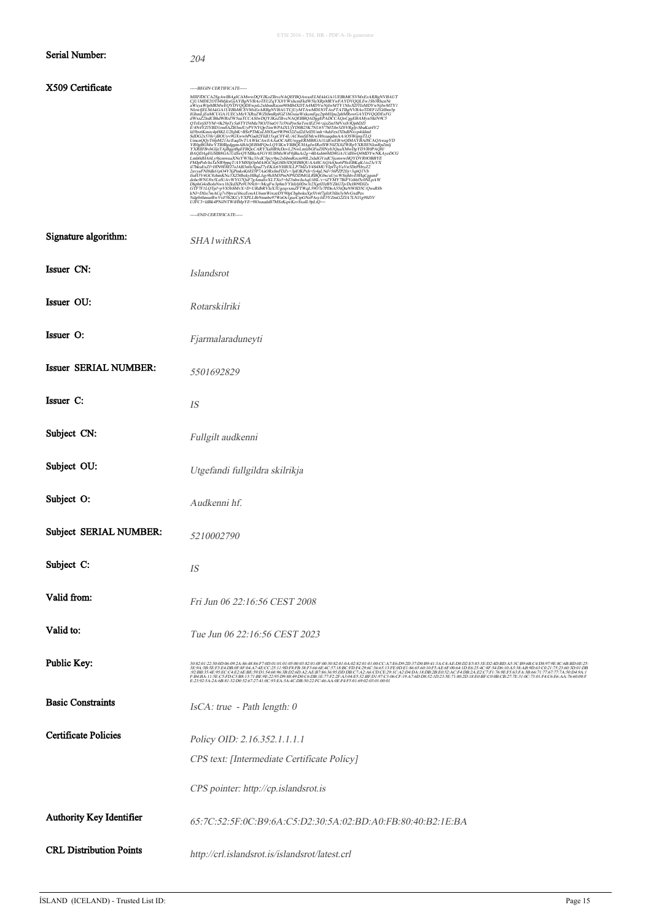## **Serial Number:** 204 X509 Certificate  $REGIN CER TIFICA TE$  $\frac{SADZ-2S3FIBB07}{SADRQB07S0FIBB07S0FIBB07S0FIB07S0FIB07S0FIB07S0FIB07S0FIB07S0FIB07S0FIB07S0FIB07S0FIB07S0FIB07S0FIB07S0FIB07S0FIB07S0FIB07S0FIB07S0FIB07S0FIB07S0FIB07S0FIB07S0FIB07S0FIB07S0FIB07S0FIB07S0FIB07S0FIB07S0FIB07S0FIB07S0FIB07S0FIB07S0FIB07S0F$ кээлэлэг айлс q /virpva11occ1:onAU6smWrxzeDY90gCbgbokuXp5fv6f7gfe83fdn3yMvGxdPes<br>Ndg0thmurRwVxF5fb2KCyYXPLLBrNmbbe97WnOs1guzCipGNzPAsyJiESYZmG2ZIA7LNJ1g90ZtV<br>UJFC3+IdBk4PNilNTWiHMpYE+9lOoaudsB7MSzKqwKzvSxaIL9pLiO== -----END CERTIFICATE----Signature algorithm: SHA1withRSA Issuer CN: **Islandsrot** Issuer OU: Rotarskilriki Issuer O: Fjarmalaraduneyti **Issuer SERIAL NUMBER:** 5501692829 Issuer C: **IS** Subject CN: Fullgilt audkenni Subject OU: Utgefandi fullgildra skilrikja Subject O: Audkenni hf. Subject SERIAL NUMBER: 5210002790 Subject C: *IS* Valid from: Fri Jun 06 22:16:56 CEST 2008 Valid to: Tue Jun 06 22:16:56 CEST 2023 Public Key: **Basic Constraints** IsCA: true - Path length: 0 Certificate Policies Policy OID: 2.16.352.1.1.1.1 CPS text: [Intermediate Certificate Policy] CPS pointer: http://cp.islandsrot.is Authority Key Identifier 65:7C:52:5F:0C:B9:6A:C5:D2:30:5A:02:BD:A0:FB:80:40:B2:1E:BA

ETSI 2016 - TSI, HR - PDE/A-1h generator

#### **CRL Distribution Points** http://crl.islandsrot.is/islandsrot/latest.crl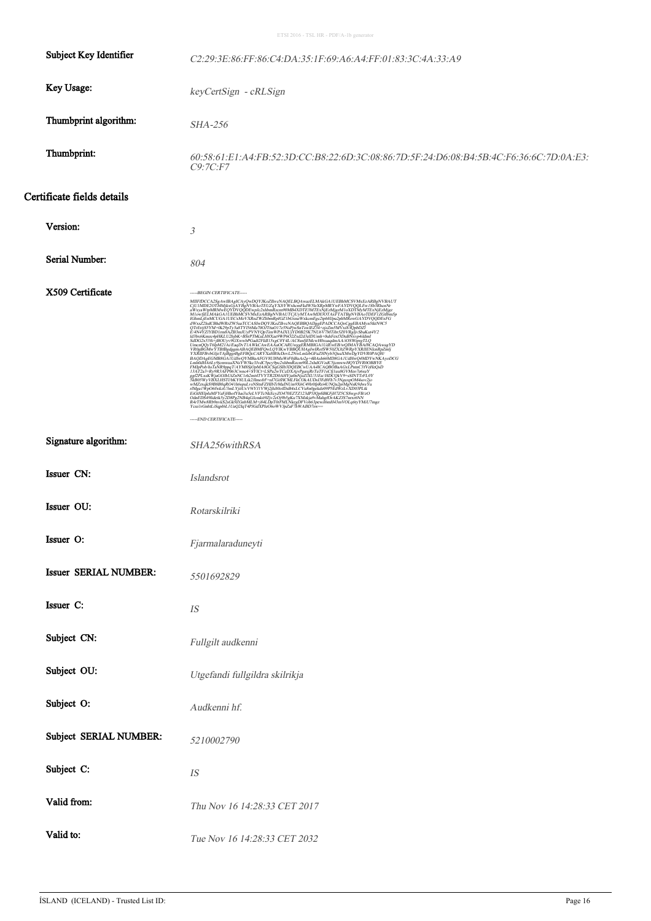| Subject Key Identifier     | C2:29:3E:86:FF:86:C4:DA:35:1F:69:A6:A4:FF:01:83:3C:4A:33:A9                                                                                                                                                                                                                                                                                                                                                                                                                                                                                                                    |
|----------------------------|--------------------------------------------------------------------------------------------------------------------------------------------------------------------------------------------------------------------------------------------------------------------------------------------------------------------------------------------------------------------------------------------------------------------------------------------------------------------------------------------------------------------------------------------------------------------------------|
| Key Usage:                 | keyCertSign - cRLSign                                                                                                                                                                                                                                                                                                                                                                                                                                                                                                                                                          |
| Thumbprint algorithm:      | <b>SHA-256</b>                                                                                                                                                                                                                                                                                                                                                                                                                                                                                                                                                                 |
| Thumbprint:                | 60:58:61:E1:A4:FB:52:3D:CC:B8:22:6D:3C:08:86:7D:5F:24:D6:08:B4:5B:4C:F6:36:6C:7D:0A:E3:<br>C9:7C:F7                                                                                                                                                                                                                                                                                                                                                                                                                                                                            |
| Certificate fields details |                                                                                                                                                                                                                                                                                                                                                                                                                                                                                                                                                                                |
| Version:                   | $\mathfrak{Z}$                                                                                                                                                                                                                                                                                                                                                                                                                                                                                                                                                                 |
| Serial Number:             | 804                                                                                                                                                                                                                                                                                                                                                                                                                                                                                                                                                                            |
| X509 Certificate           | -----BEGIN CERTIFICATE-----<br>MIIFfDCCA2SgAwIBAgICAyQwDQYJKoZIhvcNAQELBQAwazELMAkGA1UEBhMCSVMxEzARBgNVBAUT<br>CjU1MDE2OT14MjkxGjAYBgNVBAoTEUZqYXJtYWxhemFkJWSleXRpMRYwFAYDVQQLEw1Sb3FkhcnVr<br>aWxyaWtpMRMwEQYDVQQDEwpJc2xhbmRzcm90MH4XDTE3MTExNjEzMjgzM1oXDTMyMTE<br>$\label{eq:22} The MMSL2O1HMPR2O1HMPR2O1HMPR2O1HMPR2O1HMPR2O1HMPR2O1HMPR2O1HMPR2O1HMPR2O1HMPR2O1HMPR2O1HMPR2O1HMPR2O1HMPR2O1HMPR2O1HMPR2O1HMPR2O1HMPR2O1HMPR2O1HMPR2O1HMPR2O1HMPR2O1HMPR2O1HMPR2O1HMPR2O1HMPR2O1HMPR2O1HMPR2O1HMPR2O1HMPR2O1HMPR2O1HMPR2O1HMPR2O1HMPR2O1H$<br>-----END CERTIFICATE----- |
| Signature algorithm:       | SHA256withRSA                                                                                                                                                                                                                                                                                                                                                                                                                                                                                                                                                                  |
| Issuer CN:                 | <i>Islandsrot</i>                                                                                                                                                                                                                                                                                                                                                                                                                                                                                                                                                              |
| Issuer OU:                 | Rotarskilriki                                                                                                                                                                                                                                                                                                                                                                                                                                                                                                                                                                  |
| Issuer O:                  | Fjarmalaraduneyti                                                                                                                                                                                                                                                                                                                                                                                                                                                                                                                                                              |
| Issuer SERIAL NUMBER:      | 5501692829                                                                                                                                                                                                                                                                                                                                                                                                                                                                                                                                                                     |
| Issuer C:                  | $I\!S$                                                                                                                                                                                                                                                                                                                                                                                                                                                                                                                                                                         |
| Subject CN:                | Fullgilt audkenni                                                                                                                                                                                                                                                                                                                                                                                                                                                                                                                                                              |
| Subject OU:                | Utgefandi fullgildra skilrikja                                                                                                                                                                                                                                                                                                                                                                                                                                                                                                                                                 |
| Subject O:                 | Audkenni hf.                                                                                                                                                                                                                                                                                                                                                                                                                                                                                                                                                                   |
| Subject SERIAL NUMBER:     | 5210002790                                                                                                                                                                                                                                                                                                                                                                                                                                                                                                                                                                     |
| Subject C:                 | $\mathit{IS}$                                                                                                                                                                                                                                                                                                                                                                                                                                                                                                                                                                  |
| Valid from:                | Thu Nov 16 14:28:33 CET 2017                                                                                                                                                                                                                                                                                                                                                                                                                                                                                                                                                   |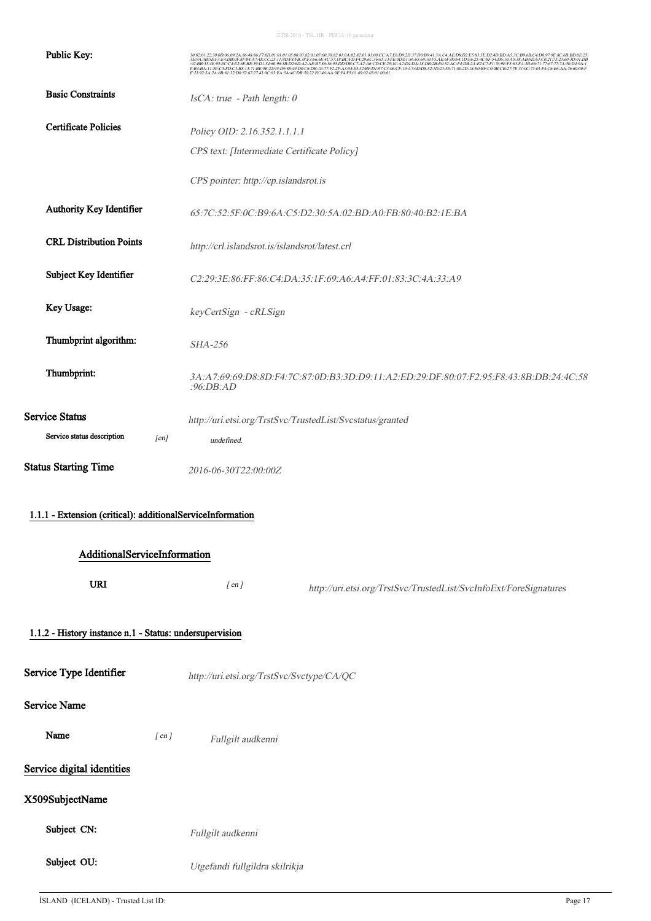| Public Key:                                                |                                                                                                        |  |  |  |
|------------------------------------------------------------|--------------------------------------------------------------------------------------------------------|--|--|--|
| <b>Basic Constraints</b>                                   | IsCA: true - Path length: 0                                                                            |  |  |  |
| <b>Certificate Policies</b>                                | Policy OID: 2.16.352.1.1.1.1                                                                           |  |  |  |
|                                                            | CPS text: [Intermediate Certificate Policy]                                                            |  |  |  |
|                                                            | CPS pointer: http://cp.islandsrot.is                                                                   |  |  |  |
| Authority Key Identifier                                   | 65:7C:52:5F:0C:B9:6A:C5:D2:30:5A:02:BD:A0:FB:80:40:B2:1E:BA                                            |  |  |  |
| <b>CRL Distribution Points</b>                             | http://crl.islandsrot.is/islandsrot/latest.crl                                                         |  |  |  |
| Subject Key Identifier                                     | C2:29:3E:86:FF:86:C4:DA:35:1F:69:A6:A4:FF:01:83:3C:4A:33:A9                                            |  |  |  |
| Key Usage:                                                 | keyCertSign - cRLSign                                                                                  |  |  |  |
| Thumbprint algorithm:                                      | <b>SHA-256</b>                                                                                         |  |  |  |
| Thumbprint:                                                | 3A:A7:69:69:D8:8D:F4:7C:87:0D:B3:3D:D9:11:A2:ED:29:DF:80:07:F2:95:F8:43:8B:DB:24:4C:58<br>: $96:DB:AD$ |  |  |  |
| <b>Service Status</b>                                      | http://uri.etsi.org/TrstSvc/TrustedList/Svcstatus/granted                                              |  |  |  |
| Service status description<br>[en]                         | undefined.                                                                                             |  |  |  |
| <b>Status Starting Time</b>                                | 2016-06-30T22:00:00Z                                                                                   |  |  |  |
| 1.1.1 - Extension (critical): additionalServiceInformation |                                                                                                        |  |  |  |
| AdditionalServiceInformation                               |                                                                                                        |  |  |  |
| <b>URI</b>                                                 | $[$ en $]$<br>http://uri.etsi.org/TrstSvc/TrustedList/SvcInfoExt/ForeSignatures                        |  |  |  |
| 1.1.2 - History instance n.1 - Status: undersupervision    |                                                                                                        |  |  |  |
|                                                            |                                                                                                        |  |  |  |
| Service Type Identifier                                    | http://uri.etsi.org/TrstSvc/Svctype/CA/QC                                                              |  |  |  |
| <b>Service Name</b>                                        |                                                                                                        |  |  |  |
| Name<br>$[$ en $]$                                         | Fullgilt audkenni                                                                                      |  |  |  |
| Service digital identities                                 |                                                                                                        |  |  |  |
| X509SubjectName                                            |                                                                                                        |  |  |  |
| Subject CN:                                                | Fullgilt audkenni                                                                                      |  |  |  |
| Subject OU:                                                | Utgefandi fullgildra skilrikja                                                                         |  |  |  |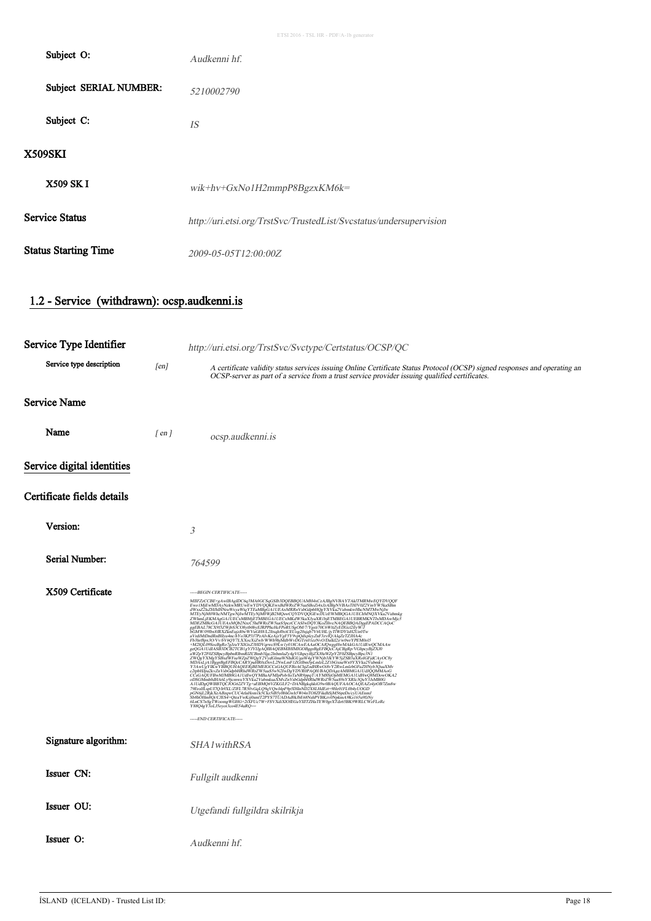| Subject O:                  | Audkenni hf.                                                       |
|-----------------------------|--------------------------------------------------------------------|
| Subject SERIAL NUMBER:      | 5210002790                                                         |
| Subject C:                  | <i>IS</i>                                                          |
| <b>X509SKI</b>              |                                                                    |
| <b>X509 SK I</b>            | $wik+hv+GxNo1H2mmpP8BgzxKM6k=$                                     |
| <b>Service Status</b>       | http://uri.etsi.org/TrstSvc/TrustedList/Svcstatus/undersupervision |
| <b>Status Starting Time</b> | 2009-05-05T12:00:00Z                                               |

## 1.2 - Service (withdrawn): ocsp.audkenni.is

| Service Type Identifier    |            | http://uri.etsi.org/TrstSvc/Svctype/Certstatus/OCSP/QC                                                                                                                                                                                                                                    |
|----------------------------|------------|-------------------------------------------------------------------------------------------------------------------------------------------------------------------------------------------------------------------------------------------------------------------------------------------|
| Service type description   | [en]       | A certificate validity status services issuing Online Certificate Status Protocol (OCSP) signed responses and operating an<br>OCSP-server as part of a service from a trust service provider issuing qualified certificates.                                                              |
| <b>Service Name</b>        |            |                                                                                                                                                                                                                                                                                           |
| Name                       | $[$ en $]$ | ocsp.audkenni.is                                                                                                                                                                                                                                                                          |
| Service digital identities |            |                                                                                                                                                                                                                                                                                           |
| Certificate fields details |            |                                                                                                                                                                                                                                                                                           |
| Version:                   |            | $\mathfrak{Z}$                                                                                                                                                                                                                                                                            |
| Serial Number:             |            | 764599                                                                                                                                                                                                                                                                                    |
| X509 Certificate           |            | -----BEGIN CERTIFICATE-----<br>-----BEGIN CERTIFICATE-COMMANDO CONSIGNO HAMPACA-MBENYIBAN UNITROLLA EN ELEMENTATION (EN ELEMENTATION) (CERTIFICATE EN ELEMENTATION) (EN ELEMENTATION) (EN ELEMENTATION) (EN ELEMENTATION) (EN ELEMENTATION) (EN ELEMENTATION<br>-----END CERTIFICATE----- |
| Signature algorithm:       |            | SHA1withRSA                                                                                                                                                                                                                                                                               |
| Issuer CN:                 |            | Fullgilt audkenni                                                                                                                                                                                                                                                                         |
| Issuer OU:                 |            | Utgefandi fullgildra skilrikja                                                                                                                                                                                                                                                            |
| Issuer O:                  |            | Audkenni hf.                                                                                                                                                                                                                                                                              |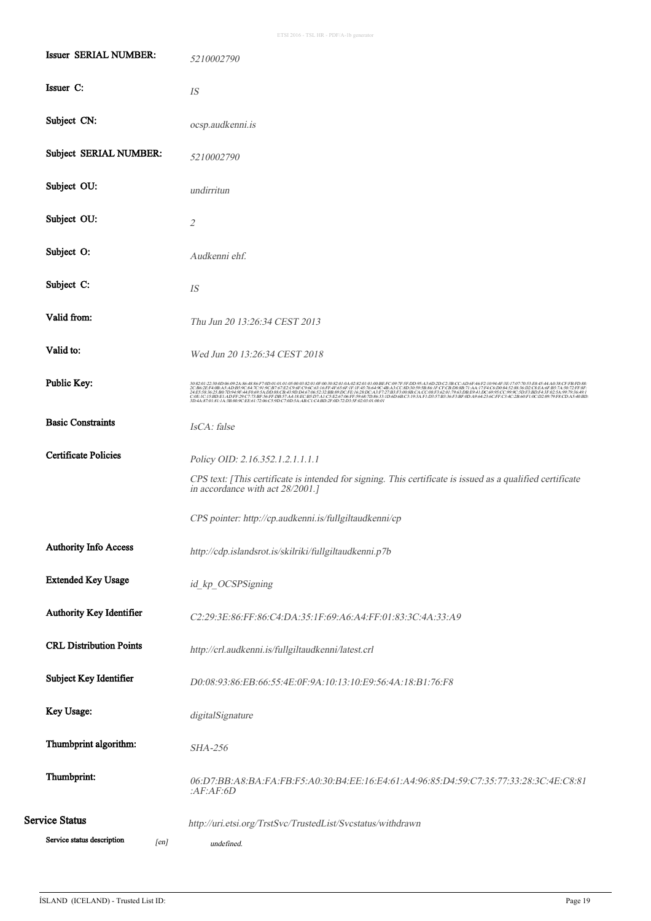| Issuer SERIAL NUMBER:                        | 5210002790                                                                                                                                     |  |  |  |
|----------------------------------------------|------------------------------------------------------------------------------------------------------------------------------------------------|--|--|--|
| Issuer C:                                    | IS                                                                                                                                             |  |  |  |
| Subject CN:                                  | ocsp.audkenni.is                                                                                                                               |  |  |  |
| Subject SERIAL NUMBER:                       | 5210002790                                                                                                                                     |  |  |  |
| Subject OU:                                  | undirritun                                                                                                                                     |  |  |  |
| Subject OU:                                  | $\mathfrak{2}$                                                                                                                                 |  |  |  |
| Subject O:                                   | Audkenni ehf.                                                                                                                                  |  |  |  |
| Subject C:                                   | $I\!S$                                                                                                                                         |  |  |  |
| Valid from:                                  | Thu Jun 20 13:26:34 CEST 2013                                                                                                                  |  |  |  |
| Valid to:                                    | Wed Jun 20 13:26:34 CEST 2018                                                                                                                  |  |  |  |
| Public Key:                                  |                                                                                                                                                |  |  |  |
| <b>Basic Constraints</b>                     | IsCA: false                                                                                                                                    |  |  |  |
| <b>Certificate Policies</b>                  | Policy OID: 2.16.352.1.2.1.1.1.1                                                                                                               |  |  |  |
|                                              | CPS text: [This certificate is intended for signing. This certificate is issued as a qualified certificate<br>in accordance with act 28/2001.] |  |  |  |
|                                              | CPS pointer: http://cp.audkenni.is/fullgiltaudkenni/cp                                                                                         |  |  |  |
| Authority Info Access                        | http://cdp.islandsrot.is/skilriki/fullgiltaudkenni.p7b                                                                                         |  |  |  |
| <b>Extended Key Usage</b>                    | id_kp_OCSPSigning                                                                                                                              |  |  |  |
| <b>Authority Key Identifier</b>              | C2:29:3E:86:FF:86:C4:DA:35:1F:69:A6:A4:FF:01:83:3C:4A:33:A9                                                                                    |  |  |  |
| <b>CRL Distribution Points</b>               | http://crl.audkenni.is/fullgiltaudkenni/latest.crl                                                                                             |  |  |  |
| Subject Key Identifier                       | D0:08:93:86:EB:66:55:4E:0F:9A:10:13:10:E9:56:4A:18:B1:76:F8                                                                                    |  |  |  |
| Key Usage:                                   | digitalSignature                                                                                                                               |  |  |  |
| Thumbprint algorithm:                        | <b>SHA-256</b>                                                                                                                                 |  |  |  |
| Thumbprint:                                  | 06:D7:BB:A8:BA:FA:FB:F5:A0:30:B4:EE:16:E4:61:A4:96:85:D4:59:C7:35:77:33:28:3C:4E:C8:81<br>:AF:AF:6D                                            |  |  |  |
| Service Status<br>Service status description | http://uri.etsi.org/TrstSvc/TrustedList/Svcstatus/withdrawn                                                                                    |  |  |  |
| [en]                                         | undefined.                                                                                                                                     |  |  |  |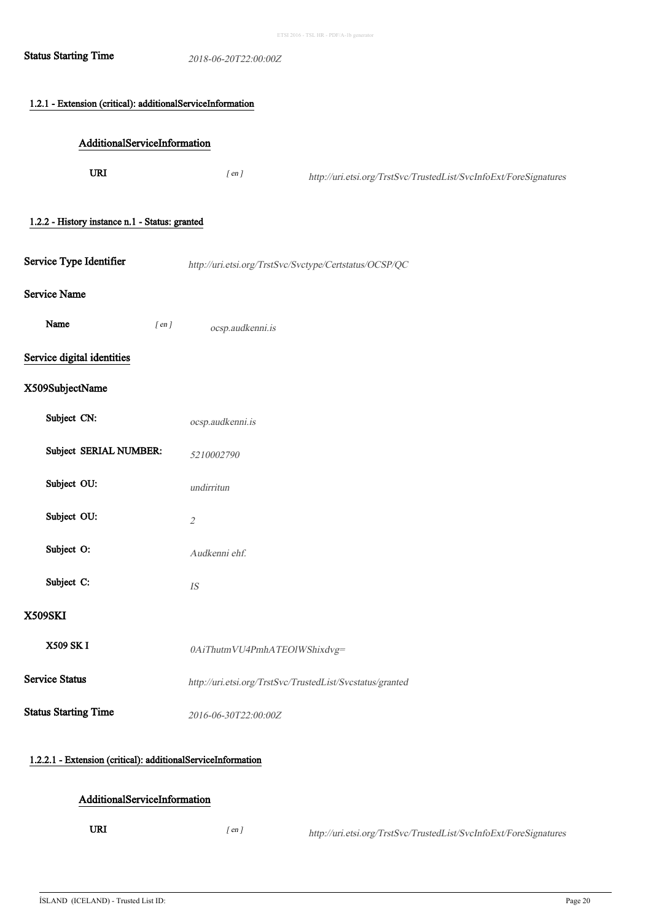| <b>Status Starting Time</b>                                  | 2018-06-20T22:00:00Z         |                                                                   |
|--------------------------------------------------------------|------------------------------|-------------------------------------------------------------------|
| 1.2.1 - Extension (critical): additionalServiceInformation   |                              |                                                                   |
| AdditionalServiceInformation                                 |                              |                                                                   |
| <b>URI</b>                                                   | $[$ en $]$                   | http://uri.etsi.org/TrstSvc/TrustedList/SvcInfoExt/ForeSignatures |
|                                                              |                              |                                                                   |
| 1.2.2 - History instance n.1 - Status: granted               |                              |                                                                   |
| Service Type Identifier                                      |                              | http://uri.etsi.org/TrstSvc/Svctype/Certstatus/OCSP/QC            |
| <b>Service Name</b>                                          |                              |                                                                   |
| Name<br>$[$ en $]$                                           | ocsp.audkenni.is             |                                                                   |
| Service digital identities                                   |                              |                                                                   |
| X509SubjectName                                              |                              |                                                                   |
| Subject CN:                                                  | ocsp.audkenni.is             |                                                                   |
| Subject SERIAL NUMBER:                                       | 5210002790                   |                                                                   |
| Subject OU:                                                  | undirritun                   |                                                                   |
| Subject OU:                                                  | $\mathfrak{2}$               |                                                                   |
| Subject O:                                                   | Audkenni ehf.                |                                                                   |
| Subject C:                                                   | $I\!S$                       |                                                                   |
| <b>X509SKI</b>                                               |                              |                                                                   |
| <b>X509 SK I</b>                                             | 0AiThutmVU4PmhATEOlWShixdvg= |                                                                   |
| <b>Service Status</b>                                        |                              | http://uri.etsi.org/TrstSvc/TrustedList/Svcstatus/granted         |
| <b>Status Starting Time</b>                                  | 2016-06-30T22:00:00Z         |                                                                   |
| 1.2.2.1 - Extension (critical): additionalServiceInformation |                              |                                                                   |

## AdditionalServiceInformation URI  $[ en ]$ http://uri.etsi.org/TrstSvc/TrustedList/SvcInfoExt/ForeSignatures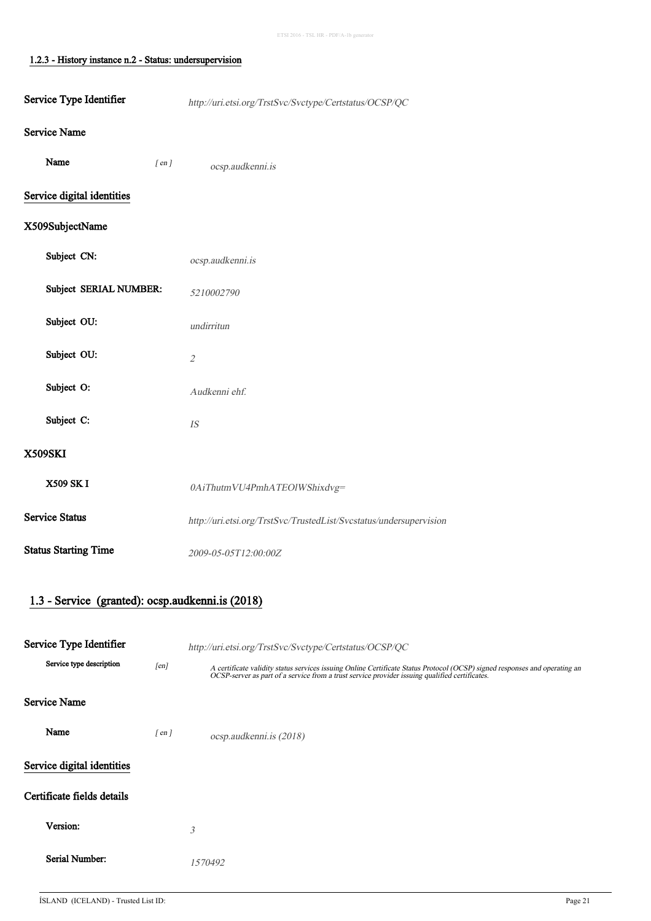### J 1.2.3 - History instance n.2 - Status: undersupervision

| Service Type Identifier     | http://uri.etsi.org/TrstSvc/Svctype/Certstatus/OCSP/QC             |
|-----------------------------|--------------------------------------------------------------------|
| <b>Service Name</b>         |                                                                    |
| Name<br>$[$ en $]$          | ocsp.audkenni.is                                                   |
| Service digital identities  |                                                                    |
| X509SubjectName             |                                                                    |
| Subject CN:                 | ocsp.audkenni.is                                                   |
| Subject SERIAL NUMBER:      | 5210002790                                                         |
| Subject OU:                 | undirritun                                                         |
| Subject OU:                 | $\mathfrak{2}$                                                     |
| Subject O:                  | Audkenni ehf.                                                      |
| Subject C:                  | IS                                                                 |
| <b>X509SKI</b>              |                                                                    |
| X509 SK I                   | 0AiThutmVU4PmhATEOlWShixdvg=                                       |
| <b>Service Status</b>       | http://uri.etsi.org/TrstSvc/TrustedList/Svcstatus/undersupervision |
| <b>Status Starting Time</b> | 2009-05-05T12:00:00Z                                               |

## 1.3 - Service (granted): ocsp.audkenni.is (2018)

| Service Type Identifier<br>Service type description | [en]       | http://uri.etsi.org/TrstSvc/Svctype/Certstatus/OCSP/QC<br>A certificate validity status services issuing Online Certificate Status Protocol (OCSP) signed responses and operating an<br>OCSP-server as part of a service from a trust service provider issuing qualified certificates. |  |
|-----------------------------------------------------|------------|----------------------------------------------------------------------------------------------------------------------------------------------------------------------------------------------------------------------------------------------------------------------------------------|--|
| <b>Service Name</b>                                 |            |                                                                                                                                                                                                                                                                                        |  |
| Name                                                | $[$ en $]$ | ocsp.audkenni.is (2018)                                                                                                                                                                                                                                                                |  |
| Service digital identities                          |            |                                                                                                                                                                                                                                                                                        |  |
| Certificate fields details                          |            |                                                                                                                                                                                                                                                                                        |  |
| Version:                                            |            | 3                                                                                                                                                                                                                                                                                      |  |
| Serial Number:                                      |            | 1570492                                                                                                                                                                                                                                                                                |  |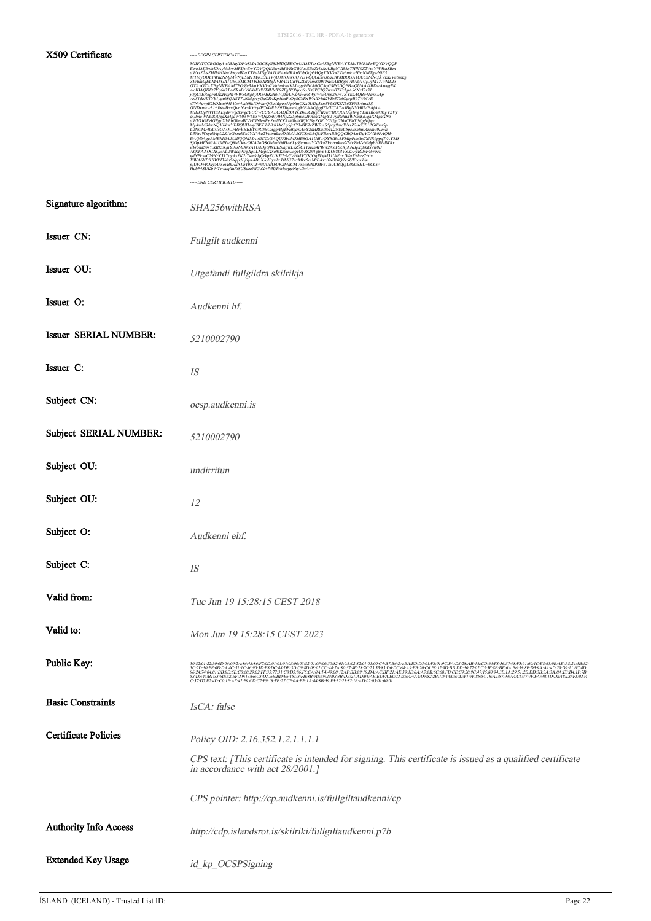### X509 Certificate

| MIIFeTCCBGGgAwIBAgIDF/a8MA0GCSqGSIb3DQEBCwUAMH4xCzAJBgNVBAYTAkITMRMwEQYDVQQF |
|------------------------------------------------------------------------------|
| Ewo1MiEwMDAvNzkwMRUwEwYDVOOKEwxBdWRrZW5uaSBoZi4xJzAlBgNVBAsTHIV0Z2VmYW5kaSBm |
| dWxsZ2lsZHJhIHNraWxyaWtqYTEaMBgGA1UEAxMRRnVsbGdpbHQgYXVka2VubmkwHhcNMTgwNjE5 |
| MTMyODE1WhcNMjMwNjE5MTMyODE1WjB3MQswCQYDVQQGEwJJUzEWMBQGA1UEChMNQXVka2Vubmkj |
| ZWhmLiELMAkGA1UECxMCMTIxEzARBgNVBAsTCnVuZGlvcml0dW4xEzARBgNVBAUTCiUvMTAwMDI3 |
| OTAxGTAXBgNVBAMTEG9jc3AuYXVkaŽVubmkuaXMwggEiMA0GCSqGSIb3DQEBAQUAÁ4IBDwAwggEK |
| AoIBAQDEt7Yq6u3TAfiRnPrYKKtKzWT4VleY9ZFgHOhjnq6oJFtSPC1Q7wvaTFEchpA96NxI2z3J |
| iOgCzER6gFeOKHwiM4PW3GSp6vDG+BKdu91OdwLFX4u+arZWitWaoU0p2RFsTZYkdAOBu41ewGAp |
| Av81dzHIIYb1yg10SQAST7uJGdqsvyGuOR4Kp4tsaPvOySCcRxWAlD4aKVE13Ts6Og1jtB97WNVE |
| sTNt4u+pE2bD2m695hVz+4ud6SkIO94hrOGu4frgeo5PpNmCKx0UDg3xn4VUGKJXk6TFN3/6mx3S |
| GNDxmkw31+JNwB+vOvnNwvkY+vfPCr4aRItZ9TIlghatAgMBAAGiggIFMIICATAJBgNVHRMEAiAA |
| MIHkBgNVHSAEgdwwgdkwgdYGĆWCCYAECAQĒBATCByDCBjgYIKwYBBQUHĀgIwgYEaf1RoaXMgY2Vy |
| dGlmaWNhdGUgaXMgaW50ZW5kZWOgZm9vIHNpZ25pbmcuIFRoaXMgY2VvdGlmaWNhdGUgaXMgaXNz |
| dWVkIGFzIGEgcXVhbGlmaWVkIGNlcnRpZmljYXRIIGluIGFjY29yZGFuY2Ugd2l0aCBhY3QgMjgv |
| MjAwMS4wNQYIKwYBBQUHAgEWKWh0dHA6Ly9jcC5hdWRrZW5uaS5pcy9mdWxsZ2lsdGF1ZGtlbm5p |
| L2NwMFIGCCsGAQUFBwEBBEYwRDBCBggrBgEFBQcwAoY2aHR0cDovL2NkcC5pc2xhbmRzcm90Lmlz |
| L3NraWxvaWtpL2Z1bGxnaWx0YXVka2VubmkucDdiMA8GCSsGAOUFBzABBOOCBOAwDgYDVR0PAOH/ |
| BAQDAgeAMBMGA1UdJQQMMAoGCCsGAQUFBwMJMB8GA1UdIwQYMBaAFMIpPob/hsTaNR9ppqT/AYM8 |
| SjOpMEMGA1UdHwQ8MDowOKA2oDSGMmh0dHA6Ly9jcmwuYXVka2VubmkuaXMvZnVsbGdpbHRhdWRr |
| ZW5uaS9sYXRlc3OuY3JsMB0GA1UdDgOWBBSihpwLvZ7C1Tzrch4PWw2XZFSeKiANBgkahkiG9w0B |
| AQsFAAOCAQEAL2Wdcq9wgAgliLMspoXxoMKx6mJogeO53SZ91gh9nVKOs8fBVSX7FyRJInF46+Nw |
| gdNPksuC29NrY31TcyAsZK2iT4mk1jQrkpZUX5i7cMjVHMVUKjOqJVgM31IAFuxJWqX+hzz7+ttv |
| XWA6hTdUBtYI3J4u5NppdLi/aAABuXJoIPvv1xTtMU7wrMkc5raMtEAvrIfNfl60OZc9UKcarWs/ |
| pjUFD+PDky5UZovBhHkXI/zT0KvF+9IJUrAbUK2MdCMVxcmlsMPMF6TsvJCBzIjgU0S0BHU+bCCw |
| HubP4SUKbWTwdcqlInFtSUSdzzNlGuX+7t3UPrMsqjqrNqADrA==                         |
|                                                                              |

-----BEGIN CERTIFICATE----

-----END CERTIFICATE----

Signature algorithm: SHA256withRSA Issuer CN: Fullgilt audkenni Issuer OU: Utgefandi fullgildra skilrikja Issuer O: Audkenni hf. Issuer SERIAL NUMBER: 5210002790 Issuer C: *IS* Subject CN: ocsp.audkenni.is Subject SERIAL NUMBER: 5210002790 Subject OU: undirritun Subject OU: 12 Subject O: Audkenni ehf. Subject C: *IS* Valid from: Tue Jun 19 15:28:15 CEST 2018 Valid to: Mon Jun 19 15:28:15 CEST 2023 Public Key:  $\frac{30\,82\,01\,02\,20000669\,2A\,86\,48\,86\,F700\,01\,01\,01\,01\,06\,00\,82\,01\,0\,0\,36\,2\,01\,0\,0\,02\,01\,00\,04\,B7\,B6\,2A\,AA\,L\,D\,D\,D\,D\,R\,9\,9\,C\,R\,D\,8\,2\,8\,AA\,C\,D\,6\,F\,5\,6\,5\,9\,8\,5\,9\,0\,01$ **Basic Constraints** IsCA: false Certificate Policies Policy OID: 2.16.352.1.2.1.1.1.1

CPS text: [This certificate is intended for signing. This certificate is issued as a qualified certificate in accordance with act 28/2001.]

CPS pointer: http://cp.audkenni.is/fullgiltaudkenni/cp

**Authority Info Access** http://cdp.islandsrot.is/skilriki/fullgiltaudkenni.p7b

**Extended Key Usage** id\_kp\_OCSPSigning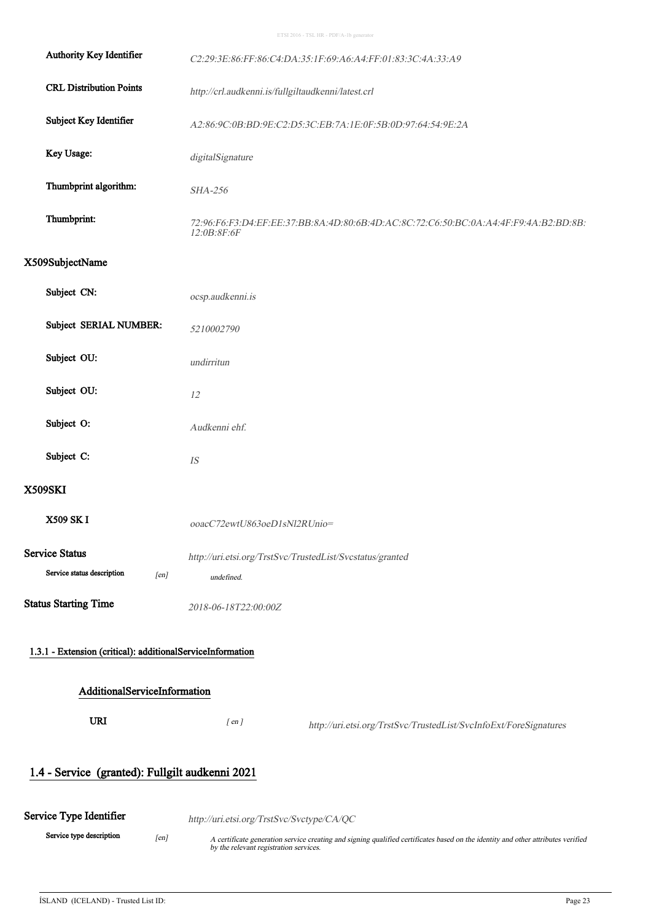| Authority Key Identifier                                    | C2:29:3E:86:FF:86:C4:DA:35:1F:69:A6:A4:FF:01:83:3C:4A:33:A9                                                                                                                |
|-------------------------------------------------------------|----------------------------------------------------------------------------------------------------------------------------------------------------------------------------|
| <b>CRL Distribution Points</b>                              | http://crl.audkenni.is/fullgiltaudkenni/latest.crl                                                                                                                         |
| Subject Key Identifier                                      | A2:86:9C:0B:BD:9E:C2:D5:3C:EB:7A:1E:0F:5B:0D:97:64:54:9E:2A                                                                                                                |
| Key Usage:                                                  | digitalSignature                                                                                                                                                           |
| Thumbprint algorithm:                                       | SHA-256                                                                                                                                                                    |
| Thumbprint:                                                 | 72:96:F6:F3:D4:EF:EE:37:BB:8A:4D:80:6B:4D:AC:8C:72:C6:50:BC:0A:A4:4F:F9:4A:B2:BD:8B:<br>12:0B:8F:6F                                                                        |
| X509SubjectName                                             |                                                                                                                                                                            |
| Subject CN:                                                 | ocsp.audkenni.is                                                                                                                                                           |
| Subject SERIAL NUMBER:                                      | 5210002790                                                                                                                                                                 |
| Subject OU:                                                 | undirritun                                                                                                                                                                 |
| Subject OU:                                                 | 12                                                                                                                                                                         |
| Subject O:                                                  | Audkenni ehf.                                                                                                                                                              |
| Subject C:                                                  | $I\!S$                                                                                                                                                                     |
| <b>X509SKI</b>                                              |                                                                                                                                                                            |
| X509 SK I                                                   | ooacC72ewtU863oeD1sNl2RUnio=                                                                                                                                               |
| <b>Service Status</b><br>Service status description<br>[en] | http://uri.etsi.org/TrstSvc/TrustedList/Svcstatus/granted                                                                                                                  |
| <b>Status Starting Time</b>                                 | undefined.                                                                                                                                                                 |
|                                                             | 2018-06-18T22:00:00Z                                                                                                                                                       |
| 1.3.1 - Extension (critical): additionalServiceInformation  |                                                                                                                                                                            |
| AdditionalServiceInformation                                |                                                                                                                                                                            |
| <b>URI</b>                                                  | $[$ en $]$<br>http://uri.etsi.org/TrstSvc/TrustedList/SvcInfoExt/ForeSignatures                                                                                            |
| 1.4 - Service (granted): Fullgilt audkenni 2021             |                                                                                                                                                                            |
| Service Type Identifier                                     | http://uri.etsi.org/TrstSvc/Svctype/CA/QC                                                                                                                                  |
| Service type description<br>[en]                            | A certificate generation service creating and signing qualified certificates based on the identity and other attributes verified<br>by the relevant registration services. |
|                                                             |                                                                                                                                                                            |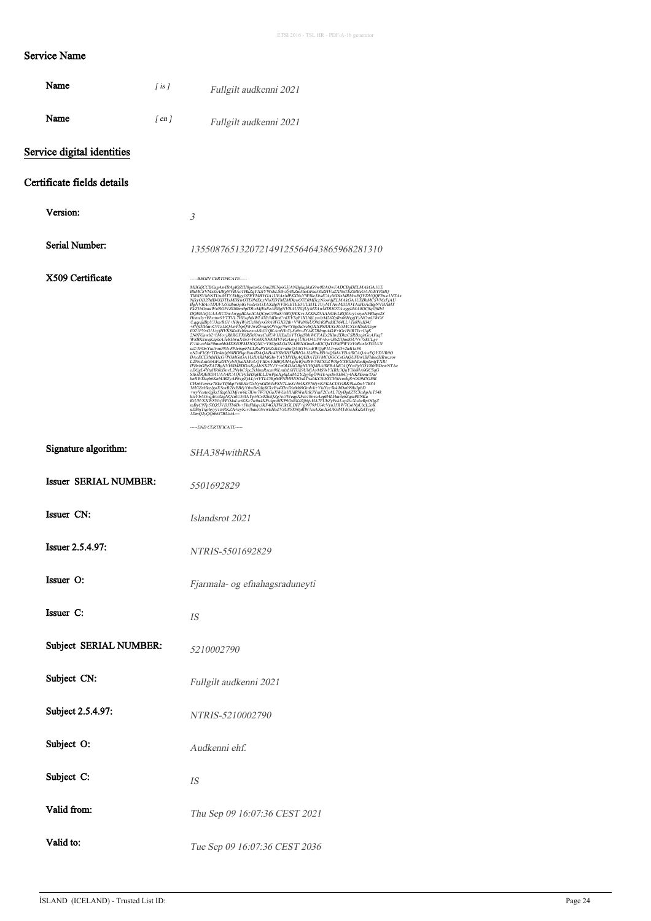### Service Name

| Name                         | $\int$ is $\int$ | Fullgilt audkenni 2021                                                                                                                                                                                                                                                                                                                                                                                                                                                                                                                                                                                                                                                                                                                                                                                                                                                                                                                                                                                                                                                                                                                                                                                                                                                                                                               |
|------------------------------|------------------|--------------------------------------------------------------------------------------------------------------------------------------------------------------------------------------------------------------------------------------------------------------------------------------------------------------------------------------------------------------------------------------------------------------------------------------------------------------------------------------------------------------------------------------------------------------------------------------------------------------------------------------------------------------------------------------------------------------------------------------------------------------------------------------------------------------------------------------------------------------------------------------------------------------------------------------------------------------------------------------------------------------------------------------------------------------------------------------------------------------------------------------------------------------------------------------------------------------------------------------------------------------------------------------------------------------------------------------|
| Name                         | $[$ en $]$       | Fullgilt audkenni 2021                                                                                                                                                                                                                                                                                                                                                                                                                                                                                                                                                                                                                                                                                                                                                                                                                                                                                                                                                                                                                                                                                                                                                                                                                                                                                                               |
| Service digital identities   |                  |                                                                                                                                                                                                                                                                                                                                                                                                                                                                                                                                                                                                                                                                                                                                                                                                                                                                                                                                                                                                                                                                                                                                                                                                                                                                                                                                      |
| Certificate fields details   |                  |                                                                                                                                                                                                                                                                                                                                                                                                                                                                                                                                                                                                                                                                                                                                                                                                                                                                                                                                                                                                                                                                                                                                                                                                                                                                                                                                      |
| Version:                     |                  | 3                                                                                                                                                                                                                                                                                                                                                                                                                                                                                                                                                                                                                                                                                                                                                                                                                                                                                                                                                                                                                                                                                                                                                                                                                                                                                                                                    |
| <b>Serial Number:</b>        |                  | 135508765132072149125564643865968281310                                                                                                                                                                                                                                                                                                                                                                                                                                                                                                                                                                                                                                                                                                                                                                                                                                                                                                                                                                                                                                                                                                                                                                                                                                                                                              |
| X509 Certificate             |                  | -----BEGIN CERTIFICATE-----<br>MIIGEGCISGORAWIRAgUQZIIR@ebaGcOmZSENpiGJAARIBegbkiO9w0BAQwEADCERDELMAKGAUUE<br>BBMCSVMxUzAIBgNVBAoTHkZqYXJtYWxhLSBvZyBZmShaGFnc3JbZHVuZXI0aTEZMBcGAUUEVRMQ<br>TRRSSVMNTUJvANTYSMjEgyOTEVMB2vNoXDTMZMDkwOTE0MDz2NbaTCMAEMwEQYDVQQFEwo<br>BgNVBAoTDUF1ZGilbm5pIGVoZi4xGTAXBgNVBGETEE5UUkITLTUyMTAwMDI3OTAxHzAdBgNVBAMT<br><b>ERINGSON WORKSHAME (2007)</b><br>THE CONTRACT CONTRACT CONTRACT CONTRACT CONTRACT CONTRACT CONTRACT CONTRACT CONTRACT CONTRACT CONTRACT CONTRACT CONTRACT CONTRACT CONTRACT CONTRACT CONTRACT CONTRACT CONTRACT CONTRACT CONTRACT<br>2N0TGawb2+bMo+jRbRGFX6RDdOwaCr8EWHEaEaYTO3JSbbWCFAE22KbvZDbzCSRBzqirGoAFaq7<br>W8BKkwqKtqiSA5eRHwaX4it3+PO6JK1000MVFtGAiwg1UKvO4UW+bu+lS621QmaSJNVv7SKCLgv<br>F11kweMaF0mmhhMXS4OPMJ3OQXC+VSOgSLGa7NA0EXtGmiLrdGCQaYiJ9dPWVzVeRoxIzT<br>-17AFOnN: damands.org/Policy/Processing/Contract/Contract/Processing/Processing/Processing/Processing/Processing/Processing/Processing/Processing/Processing/Processing/Processing/Processing/Processing/Processing/Processing<br>CHEMINIV FREET JIRRU NORMEZI SENYSLODGI PER SENE NEM PRODUCED TRANSPORTED TO THE SENE OF A SURFACE SENE OF A SURFACE SENE OF A SURFACE SENE OF A SURFACE SENE OF A SURFACE SENE OF A SURFACE SENE OF A SURFACE SENE OF A SURFA<br>-----END CERTIFICATE----- |
| Signature algorithm:         |                  | SHA384withRSA                                                                                                                                                                                                                                                                                                                                                                                                                                                                                                                                                                                                                                                                                                                                                                                                                                                                                                                                                                                                                                                                                                                                                                                                                                                                                                                        |
| <b>Issuer SERIAL NUMBER:</b> |                  | 5501692829                                                                                                                                                                                                                                                                                                                                                                                                                                                                                                                                                                                                                                                                                                                                                                                                                                                                                                                                                                                                                                                                                                                                                                                                                                                                                                                           |
| Issuer CN:                   |                  | Islandsrot 2021                                                                                                                                                                                                                                                                                                                                                                                                                                                                                                                                                                                                                                                                                                                                                                                                                                                                                                                                                                                                                                                                                                                                                                                                                                                                                                                      |
| <b>Issuer 2.5.4.97:</b>      |                  | <i>NTRIS-5501692829</i>                                                                                                                                                                                                                                                                                                                                                                                                                                                                                                                                                                                                                                                                                                                                                                                                                                                                                                                                                                                                                                                                                                                                                                                                                                                                                                              |
| Issuer O:                    |                  | Fjarmala- og efnahagsraduneyti                                                                                                                                                                                                                                                                                                                                                                                                                                                                                                                                                                                                                                                                                                                                                                                                                                                                                                                                                                                                                                                                                                                                                                                                                                                                                                       |
| Issuer C:                    |                  | IS                                                                                                                                                                                                                                                                                                                                                                                                                                                                                                                                                                                                                                                                                                                                                                                                                                                                                                                                                                                                                                                                                                                                                                                                                                                                                                                                   |
| Subject SERIAL NUMBER:       |                  | 5210002790                                                                                                                                                                                                                                                                                                                                                                                                                                                                                                                                                                                                                                                                                                                                                                                                                                                                                                                                                                                                                                                                                                                                                                                                                                                                                                                           |
| Subject CN:                  |                  | Fullgilt audkenni 2021                                                                                                                                                                                                                                                                                                                                                                                                                                                                                                                                                                                                                                                                                                                                                                                                                                                                                                                                                                                                                                                                                                                                                                                                                                                                                                               |
| Subject 2.5.4.97:            |                  | NTRIS-5210002790                                                                                                                                                                                                                                                                                                                                                                                                                                                                                                                                                                                                                                                                                                                                                                                                                                                                                                                                                                                                                                                                                                                                                                                                                                                                                                                     |
| Subject O:                   |                  | Audkenni ehf.                                                                                                                                                                                                                                                                                                                                                                                                                                                                                                                                                                                                                                                                                                                                                                                                                                                                                                                                                                                                                                                                                                                                                                                                                                                                                                                        |
| Subject C:                   |                  | IS                                                                                                                                                                                                                                                                                                                                                                                                                                                                                                                                                                                                                                                                                                                                                                                                                                                                                                                                                                                                                                                                                                                                                                                                                                                                                                                                   |
| Valid from:                  |                  | Thu Sep 09 16:07:36 CEST 2021                                                                                                                                                                                                                                                                                                                                                                                                                                                                                                                                                                                                                                                                                                                                                                                                                                                                                                                                                                                                                                                                                                                                                                                                                                                                                                        |
| Valid to:                    |                  | Tue Sep 09 16:07:36 CEST 2036                                                                                                                                                                                                                                                                                                                                                                                                                                                                                                                                                                                                                                                                                                                                                                                                                                                                                                                                                                                                                                                                                                                                                                                                                                                                                                        |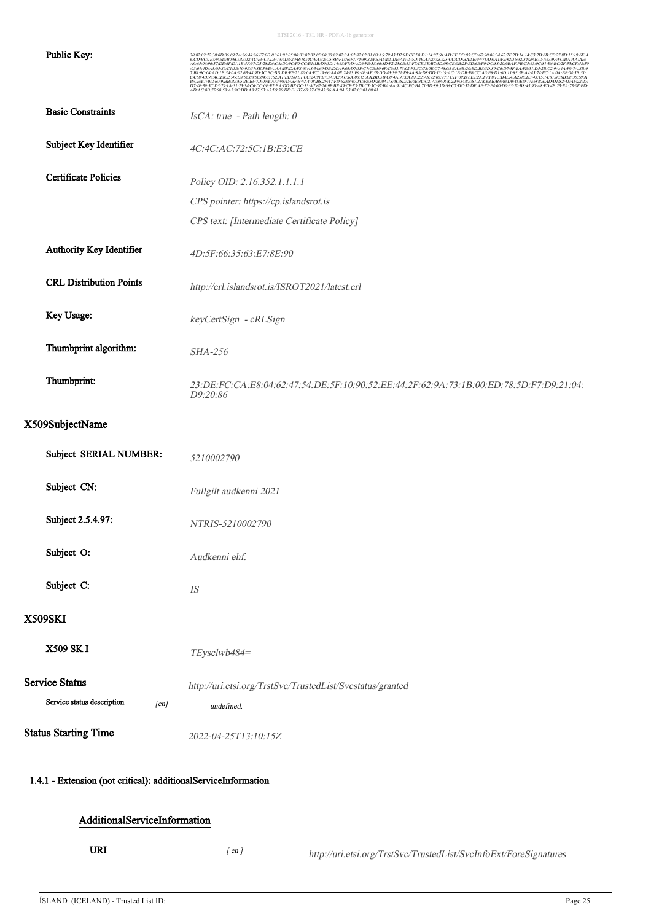| <b>Public Kev</b> |  |
|-------------------|--|
|-------------------|--|

 Public Key: 30:82:02:22:30:0D:06:09:2A:86:48:86:F7:0D:01:01:01:05:00:03:82:02:0F:00:30:82:02:0A:02:82:02:01:00:A9:79:43:D2:9F:CF:F8:D1:14:07:94:AB:EF:DD:95:CD:67:90:00:34:62:2F:2D:14:14:C3:2D:6B:CF:27:8D:15:19:6E:A 6:CD:BC:1E:79:ED:B0:8C:BE:12:1C:E6:C3:D6:13:4D:52:FB:1C:4C:EA:32:C5:8B:F1:76:F7:74:39:82:FB:A5:D5:DE:A1:75:5D:4E:A3:2F:2C:25:CC:CD:BA:5E:94:71:D3:A1:F2:82:36:32:34:29:E7:51:63:9F:FC:BA:AA:AE: A9:65:06:96:37:DE:6F:D1:1B:5F:97:D3:28:D6:CA:D0:9C:F0:CC:B1:1B:D0:3D:14:65:F7:DA:D6:FE:55:66:8D:F2:25:0E:33:F7:CE:3E:B7:5D:08:CE:0B:2F:ED:6E:F0:DC:88:20:9E:1F:FB:C5:63:0C:81:E6:BC:2F:53:CF:58:50 :03:01:4D:A5:05:89:C1:1E:70:9E:37:8E:56:BA:AA:EF:DA:F8:63:48:34:69:DB:DC:49:05:D7:3F:C7:CE:50:6F:C9:53:73:02:F3:5C:78:0E:C7:48:0A:8A:6B:20:ED:B5:3D:89:C6:D7:5F:EA:FE:31:D5:2B:C2:9A:4A:F9:7A:8B:0 7:B1:9C:04:AD:1B:54:0A:02:65:48:9D:3C:BC:BB:DB:EF:21:80:0A:EC:19:66:A4:0E:24:13:E9:4E:AF:53:DD:45:39:71:F9:4A:8A:D8:DD:13:19:AC:1B:DB:E6:CC:A3:E8:D1:6D:11:85:5F:A4:43:74:EC:1A:0A:BF:04:5B:51: C4:68:4B:98:4C:E8:25:49:B8:56:08:50:04:CF:62:A1:BD:90:E1:CC:24:91:07:3A:A2:AC:6A:00:15:AA:BB:5B:C0:4A:93:0A:8A:22:A8:92:03:77:11:1F:09:D7:E2:2A:F7:F8:F3:BA:24:A2:0E:D3:43:15:14:81:80:8B:08:35:50:A B:CE:E1:49:56:F9:BB:BE:95:2E:B6:7D:09:E7:F3:95:15:BF:B4:A4:08:B8:2F:17:FD:62:93:07:8C:68:5D:26:9A:18:4C:5D:2E:0E:3C:C2:77:39:05:C2:F9:54:8E:81:22:C6:6B:B3:40:D0:45:ED:1A:68:8B:AD:D1:82:41:A6:22:27: D7:4F:59:5C:D5:79:1A:31:23:34:C6:DC:0E:E2:BA:DD:BF:DC:53:A7:62:26:9F:BE:89:CF:F3:7B:C5:3C:97:BA:6A:91:4C:FC:B4:71:3D:89:3D:66:C7:DC:52:DF:AE:F2:E4:00:D0:65:70:B8:45:90:A8:FD:4B:23:EA:73:0F:ED: AD:AC:8B:75:68:58:A5:9C:DD:A8:17:53:A3:F9:30:DE:E1:B7:60:37:C0:43:06:AA:04:B3:02:03:01:00:01

| <b>Basic Constraints</b>       | IsCA: true - Path length: 0                                                                                          |  |
|--------------------------------|----------------------------------------------------------------------------------------------------------------------|--|
| Subject Key Identifier         | 4C:4C:AC:72:5C:1B:E3:CE                                                                                              |  |
| <b>Certificate Policies</b>    | Policy OID: 2.16.352.1.1.1.1<br>CPS pointer: https://cp.islandsrot.is<br>CPS text: [Intermediate Certificate Policy] |  |
| Authority Key Identifier       | 4D:5F:66:35:63:E7:8E:90                                                                                              |  |
| <b>CRL Distribution Points</b> | http://crl.islandsrot.is/ISROT2021/latest.crl                                                                        |  |
| Key Usage:                     | keyCertSign - cRLSign                                                                                                |  |
| Thumbprint algorithm:          | SHA-256                                                                                                              |  |
| Thumbprint:                    | 23:DE:FC:CA:E8:04:62:47:54:DE:5F:10:90:52:EE:44:2F:62:9A:73:1B:00:ED:78:5D:F7:D9:21:04:<br>D9:20:86                  |  |
| X509SubjectName                |                                                                                                                      |  |
| Subject SERIAL NUMBER:         | 5210002790                                                                                                           |  |
| Subject CN:                    | Fullgilt audkenni 2021                                                                                               |  |
| Subject 2.5.4.97:              | NTRIS-5210002790                                                                                                     |  |
| Subject O:                     | Audkenni ehf.                                                                                                        |  |
| Subject C:                     | $I\!S$                                                                                                               |  |
| X509SKI                        |                                                                                                                      |  |
| X509 SK I                      | TEysclwb484=                                                                                                         |  |

- Service Status http://uri.etsi.org/TrstSvc/TrustedList/Svcstatus/granted Service status description [en] undefined.
- Status Starting Time<br>  $2022-04-25T13:10:15Z$

### 1.4.1 - Extension (not critical): additionalServiceInformation

### AdditionalServiceInformation

URI  $\lceil en \rceil$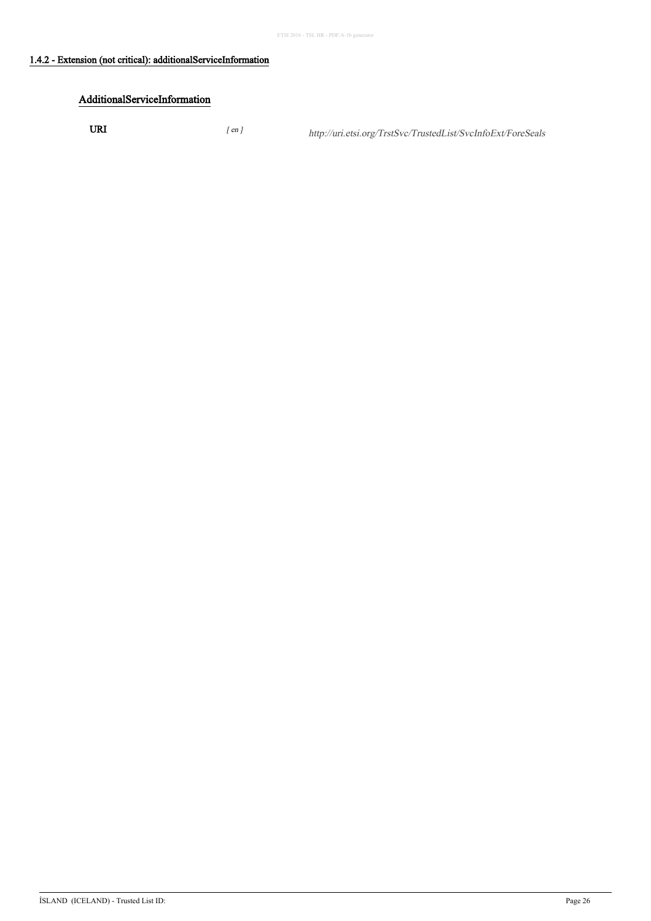### AdditionalServiceInformation

URI  $[ en ]$ 

http://uri.etsi.org/TrstSvc/TrustedList/SvcInfoExt/ForeSeals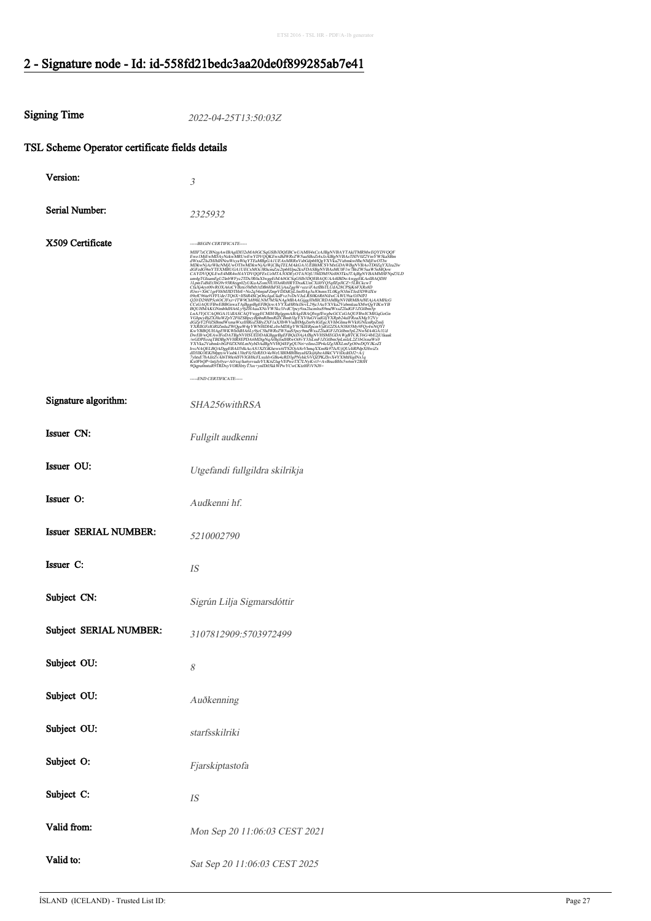## 2 - Signature node - Id: id-558fd21bedc3aa20de0f899285ab7e41

| <b>Signing Time</b>                            | 2022-04-25T13:50:03Z                                                                                                                                                                                                                                                                                                                                                                                                                                                                                                                                               |
|------------------------------------------------|--------------------------------------------------------------------------------------------------------------------------------------------------------------------------------------------------------------------------------------------------------------------------------------------------------------------------------------------------------------------------------------------------------------------------------------------------------------------------------------------------------------------------------------------------------------------|
| TSL Scheme Operator certificate fields details |                                                                                                                                                                                                                                                                                                                                                                                                                                                                                                                                                                    |
| Version:                                       | 3                                                                                                                                                                                                                                                                                                                                                                                                                                                                                                                                                                  |
| Serial Number:                                 | 2325932                                                                                                                                                                                                                                                                                                                                                                                                                                                                                                                                                            |
| X509 Certificate                               | ---BEGIN CERTIFICATE-----<br>$\label{eq:22} \begin{minipage}[t]{0.99\textwidth}\begin{tabular}{0.99\textwidth}\begin{tabular}{0.99\textwidth}\begin{tabular}{0.99\textwidth}\begin{tabular}{0.99\textwidth}\begin{tabular}{0.99\textwidth}\begin{tabular}{0.99\textwidth}\begin{tabular}{0.99\textwidth}\begin{tabular}{0.99\textwidth}\begin{tabular}{0.99\textwidth}\begin{tabular}{0.99\textwidth}\begin{tabular}{0.99\textwidth}\begin{tabular}{0.99\textwidth}\begin{tabular}{0.99\textwidth}\begin{tabular}{0.99\textwidth}\begin{tabular}{0.99\textwidth}\$ |
| Signature algorithm:                           | -----END CERTIFICATE-----                                                                                                                                                                                                                                                                                                                                                                                                                                                                                                                                          |
|                                                | SHA256withRSA                                                                                                                                                                                                                                                                                                                                                                                                                                                                                                                                                      |
| Issuer CN:                                     | Fullgilt audkenni                                                                                                                                                                                                                                                                                                                                                                                                                                                                                                                                                  |
| Issuer OU:                                     | Utgefandi fullgildra skilrikja                                                                                                                                                                                                                                                                                                                                                                                                                                                                                                                                     |
| Issuer O:                                      | Audkenni hf                                                                                                                                                                                                                                                                                                                                                                                                                                                                                                                                                        |
| <b>Issuer SERIAL NUMBER:</b>                   | 5210002790                                                                                                                                                                                                                                                                                                                                                                                                                                                                                                                                                         |
| Issuer C:                                      | IS                                                                                                                                                                                                                                                                                                                                                                                                                                                                                                                                                                 |
| Subject CN:                                    | Sigrún Lilja Sigmarsdóttir                                                                                                                                                                                                                                                                                                                                                                                                                                                                                                                                         |
| Subject SERIAL NUMBER:                         | 3107812909:5703972499                                                                                                                                                                                                                                                                                                                                                                                                                                                                                                                                              |
| Subject OU:                                    | 8                                                                                                                                                                                                                                                                                                                                                                                                                                                                                                                                                                  |
| Subject OU:                                    | Auðkenning                                                                                                                                                                                                                                                                                                                                                                                                                                                                                                                                                         |
| Subject OU:                                    | starfsskilriki                                                                                                                                                                                                                                                                                                                                                                                                                                                                                                                                                     |
| Subject O:                                     | Fjarskiptastofa                                                                                                                                                                                                                                                                                                                                                                                                                                                                                                                                                    |
| Subject C:                                     | <i>IS</i>                                                                                                                                                                                                                                                                                                                                                                                                                                                                                                                                                          |
| Valid from:                                    | Mon Sep 20 11:06:03 CEST 2021                                                                                                                                                                                                                                                                                                                                                                                                                                                                                                                                      |
| Valid to:                                      | Sat Sep 20 11:06:03 CEST 2025                                                                                                                                                                                                                                                                                                                                                                                                                                                                                                                                      |